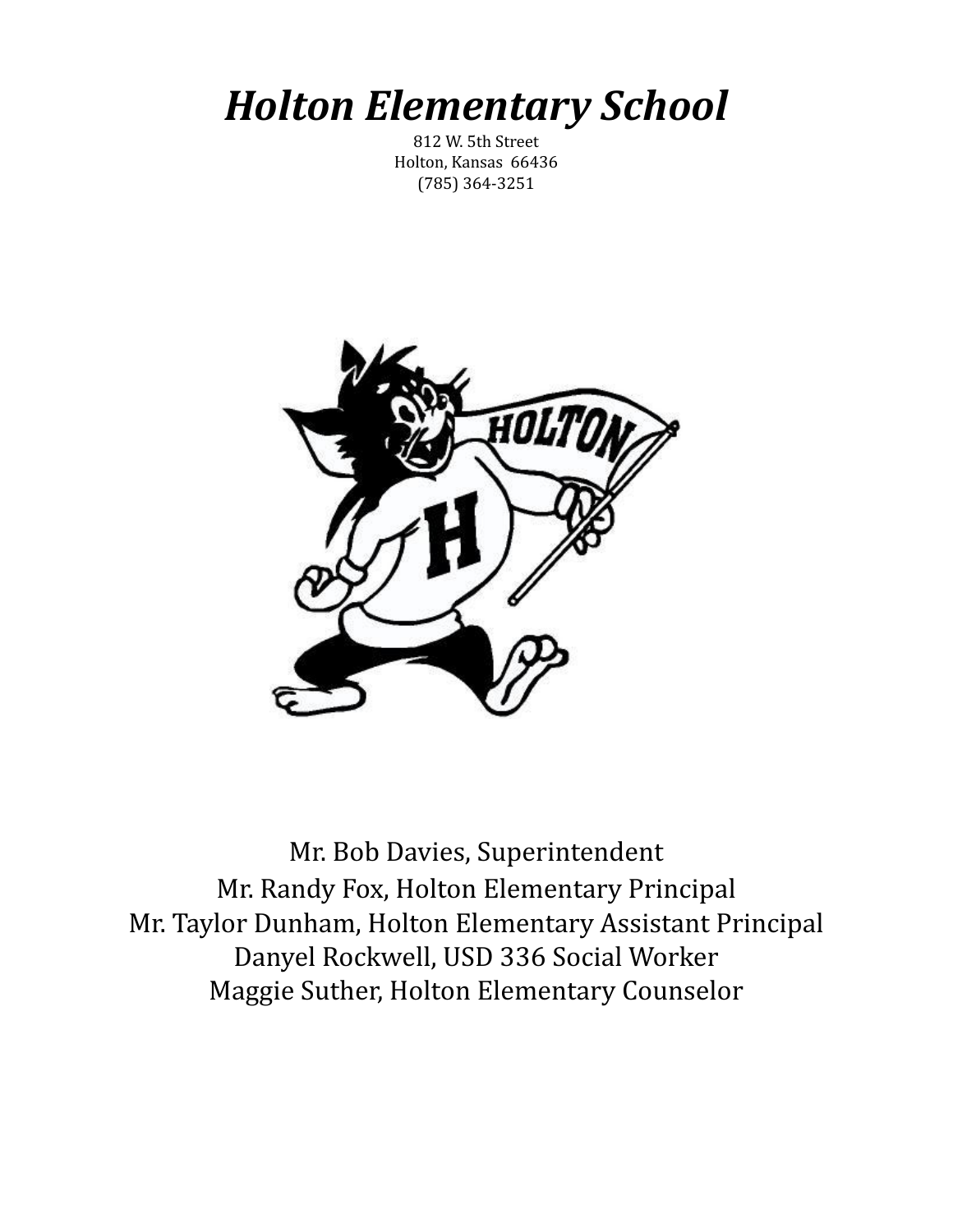# *Holton Elementary School*

812 W. 5th Street Holton, Kansas 66436 (785) 364-3251



Mr. Bob Davies, Superintendent Mr. Randy Fox, Holton Elementary Principal Mr. Taylor Dunham, Holton Elementary Assistant Principal Danyel Rockwell, USD 336 Social Worker Maggie Suther, Holton Elementary Counselor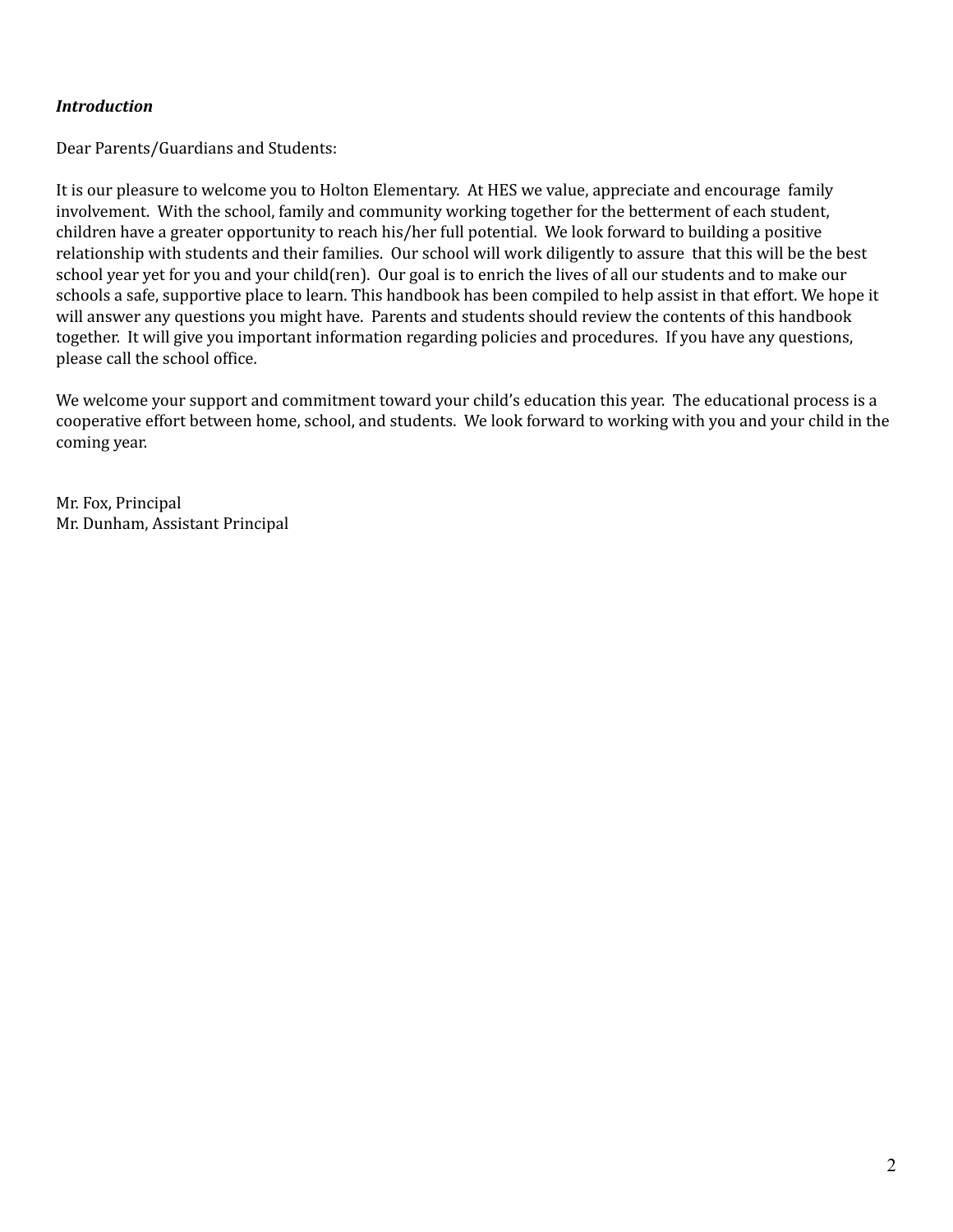## *Introduction*

Dear Parents/Guardians and Students:

It is our pleasure to welcome you to Holton Elementary. At HES we value, appreciate and encourage family involvement. With the school, family and community working together for the betterment of each student, children have a greater opportunity to reach his/her full potential. We look forward to building a positive relationship with students and their families. Our school will work diligently to assure that this will be the best school year yet for you and your child(ren). Our goal is to enrich the lives of all our students and to make our schools a safe, supportive place to learn. This handbook has been compiled to help assist in that effort. We hope it will answer any questions you might have. Parents and students should review the contents of this handbook together. It will give you important information regarding policies and procedures. If you have any questions, please call the school office.

We welcome your support and commitment toward your child's education this year. The educational process is a cooperative effort between home, school, and students. We look forward to working with you and your child in the coming year.

Mr. Fox, Principal Mr. Dunham, Assistant Principal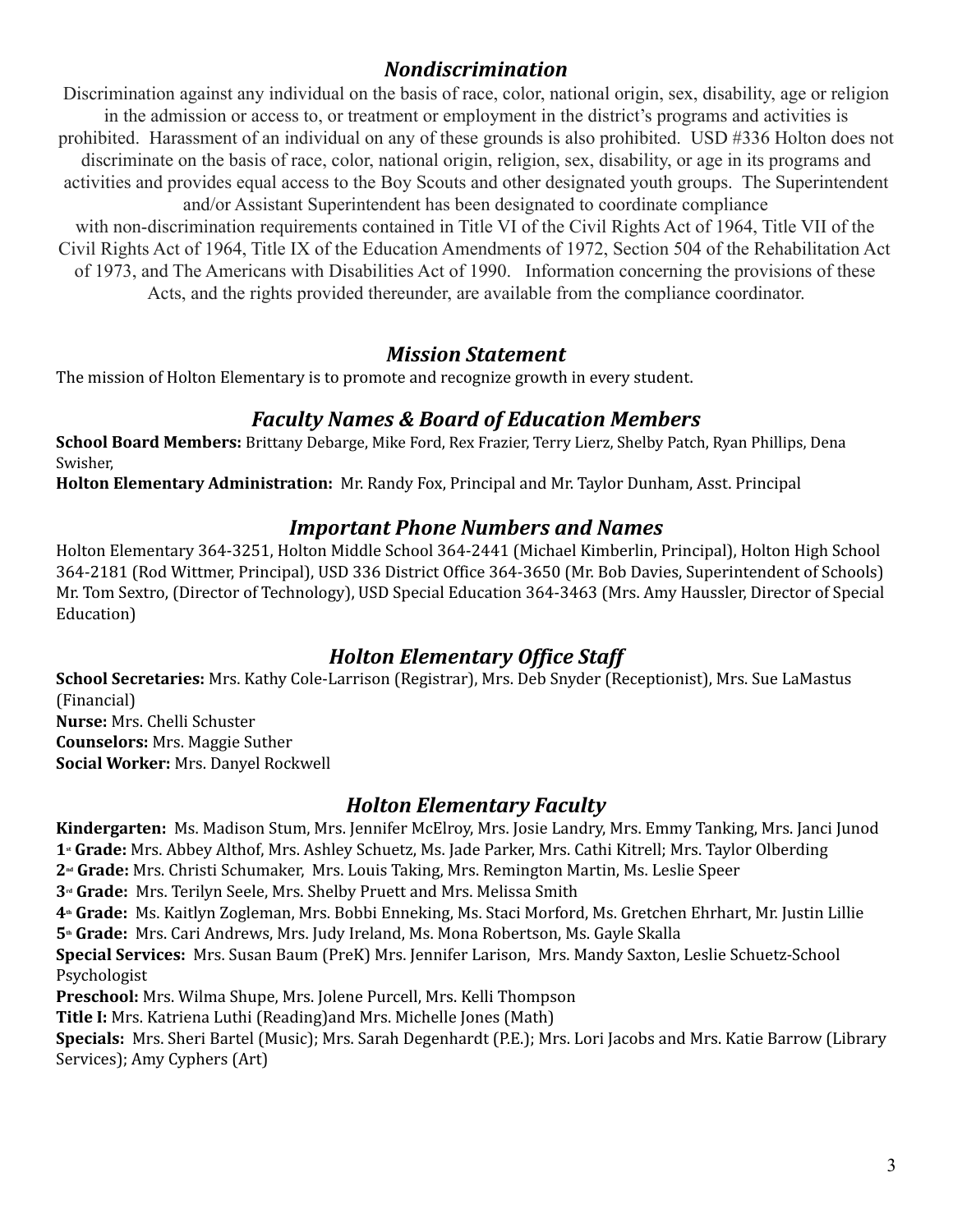# *Nondiscrimination*

Discrimination against any individual on the basis of race, color, national origin, sex, disability, age or religion in the admission or access to, or treatment or employment in the district's programs and activities is prohibited. Harassment of an individual on any of these grounds is also prohibited. USD #336 Holton does not discriminate on the basis of race, color, national origin, religion, sex, disability, or age in its programs and activities and provides equal access to the Boy Scouts and other designated youth groups. The Superintendent and/or Assistant Superintendent has been designated to coordinate compliance

with non-discrimination requirements contained in Title VI of the Civil Rights Act of 1964, Title VII of the Civil Rights Act of 1964, Title IX of the Education Amendments of 1972, Section 504 of the Rehabilitation Act of 1973, and The Americans with Disabilities Act of 1990. Information concerning the provisions of these Acts, and the rights provided thereunder, are available from the compliance coordinator.

# *Mission Statement*

The mission of Holton Elementary is to promote and recognize growth in every student.

# *Faculty Names & Board of Education Members*

**School Board Members:** Brittany Debarge, Mike Ford, Rex Frazier, Terry Lierz, Shelby Patch, Ryan Phillips, Dena Swisher,

**Holton Elementary Administration:** Mr. Randy Fox, Principal and Mr. Taylor Dunham, Asst. Principal

# *Important Phone Numbers and Names*

Holton Elementary 364-3251, Holton Middle School 364-2441 (Michael Kimberlin, Principal), Holton High School 364-2181 (Rod Wittmer, Principal), USD 336 District Office 364-3650 (Mr. Bob Davies, Superintendent of Schools) Mr. Tom Sextro, (Director of Technology), USD Special Education 364-3463 (Mrs. Amy Haussler, Director of Special Education)

# *Holton Elementary Office Staff*

**School Secretaries:** Mrs. Kathy Cole-Larrison (Registrar), Mrs. Deb Snyder (Receptionist), Mrs. Sue LaMastus (Financial) **Nurse:** Mrs. Chelli Schuster **Counselors:** Mrs. Maggie Suther **Social Worker:** Mrs. Danyel Rockwell

# *Holton Elementary Faculty*

**Kindergarten:** Ms. Madison Stum, Mrs. Jennifer McElroy, Mrs. Josie Landry, Mrs. Emmy Tanking, Mrs. Janci Junod **1st Grade:** Mrs. Abbey Althof, Mrs. Ashley Schuetz, Ms. Jade Parker, Mrs. Cathi Kitrell; Mrs. Taylor Olberding

**2nd Grade:** Mrs. Christi Schumaker, Mrs. Louis Taking, Mrs. Remington Martin, Ms. Leslie Speer

**3rd Grade:** Mrs. Terilyn Seele, Mrs. Shelby Pruett and Mrs. Melissa Smith

**4th Grade:** Ms. Kaitlyn Zogleman, Mrs. Bobbi Enneking, Ms. Staci Morford, Ms. Gretchen Ehrhart, Mr. Justin Lillie **5th Grade:** Mrs. Cari Andrews, Mrs. Judy Ireland, Ms. Mona Robertson, Ms. Gayle Skalla

**Special Services:** Mrs. Susan Baum (PreK) Mrs. Jennifer Larison, Mrs. Mandy Saxton, Leslie Schuetz-School Psychologist

**Preschool:** Mrs. Wilma Shupe, Mrs. Jolene Purcell, Mrs. Kelli Thompson

**Title I:** Mrs. Katriena Luthi (Reading)and Mrs. Michelle Jones (Math)

**Specials:** Mrs. Sheri Bartel (Music); Mrs. Sarah Degenhardt (P.E.); Mrs. Lori Jacobs and Mrs. Katie Barrow (Library Services); Amy Cyphers (Art)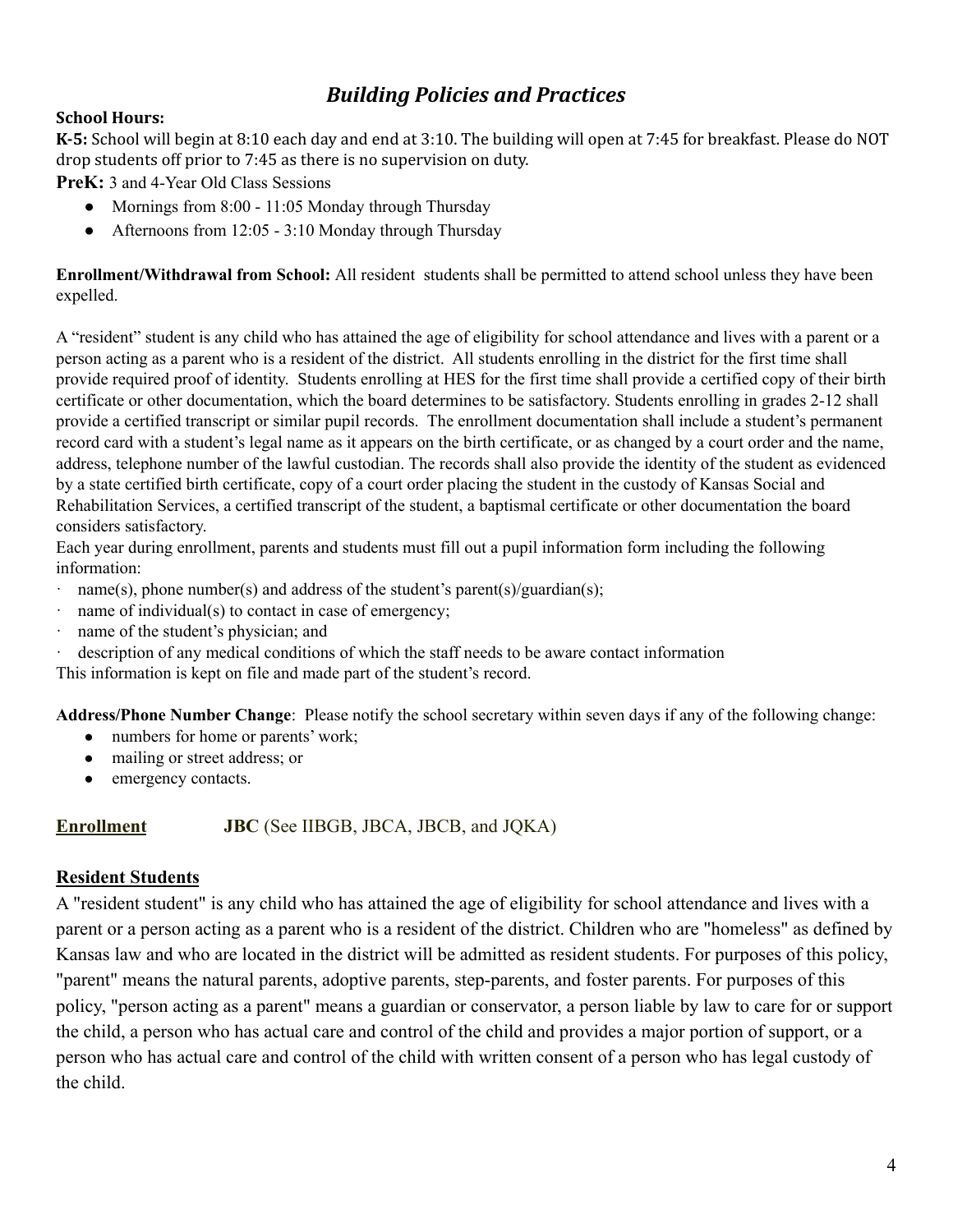# *Building Policies and Practices*

# **School Hours:**

**K-5:** School will begin at 8:10 each day and end at 3:10. The building will open at 7:45 for breakfast. Please do NOT drop students off prior to 7:45 as there is no supervision on duty.

**PreK:** 3 and 4-Year Old Class Sessions

- Mornings from 8:00 11:05 Monday through Thursday
- Afternoons from 12:05 3:10 Monday through Thursday

**Enrollment/Withdrawal from School:** All resident students shall be permitted to attend school unless they have been expelled.

A "resident" student is any child who has attained the age of eligibility for school attendance and lives with a parent or a person acting as a parent who is a resident of the district. All students enrolling in the district for the first time shall provide required proof of identity. Students enrolling at HES for the first time shall provide a certified copy of their birth certificate or other documentation, which the board determines to be satisfactory. Students enrolling in grades 2-12 shall provide a certified transcript or similar pupil records. The enrollment documentation shall include a student's permanent record card with a student's legal name as it appears on the birth certificate, or as changed by a court order and the name, address, telephone number of the lawful custodian. The records shall also provide the identity of the student as evidenced by a state certified birth certificate, copy of a court order placing the student in the custody of Kansas Social and Rehabilitation Services, a certified transcript of the student, a baptismal certificate or other documentation the board considers satisfactory.

Each year during enrollment, parents and students must fill out a pupil information form including the following information:

- · name(s), phone number(s) and address of the student's parent(s)/guardian(s);
- · name of individual(s) to contact in case of emergency;
- · name of the student's physician; and
- · description of any medical conditions of which the staff needs to be aware contact information

This information is kept on file and made part of the student's record.

**Address/Phone Number Change**: Please notify the school secretary within seven days if any of the following change:

- numbers for home or parents' work;
- mailing or street address; or
- emergency contacts.

# **Enrollment JBC** (See IIBGB, JBCA, JBCB, and JQKA)

# **Resident Students**

A "resident student" is any child who has attained the age of eligibility for school attendance and lives with a parent or a person acting as a parent who is a resident of the district. Children who are "homeless" as defined by Kansas law and who are located in the district will be admitted as resident students. For purposes of this policy, "parent" means the natural parents, adoptive parents, step-parents, and foster parents. For purposes of this policy, "person acting as a parent" means a guardian or conservator, a person liable by law to care for or support the child, a person who has actual care and control of the child and provides a major portion of support, or a person who has actual care and control of the child with written consent of a person who has legal custody of the child.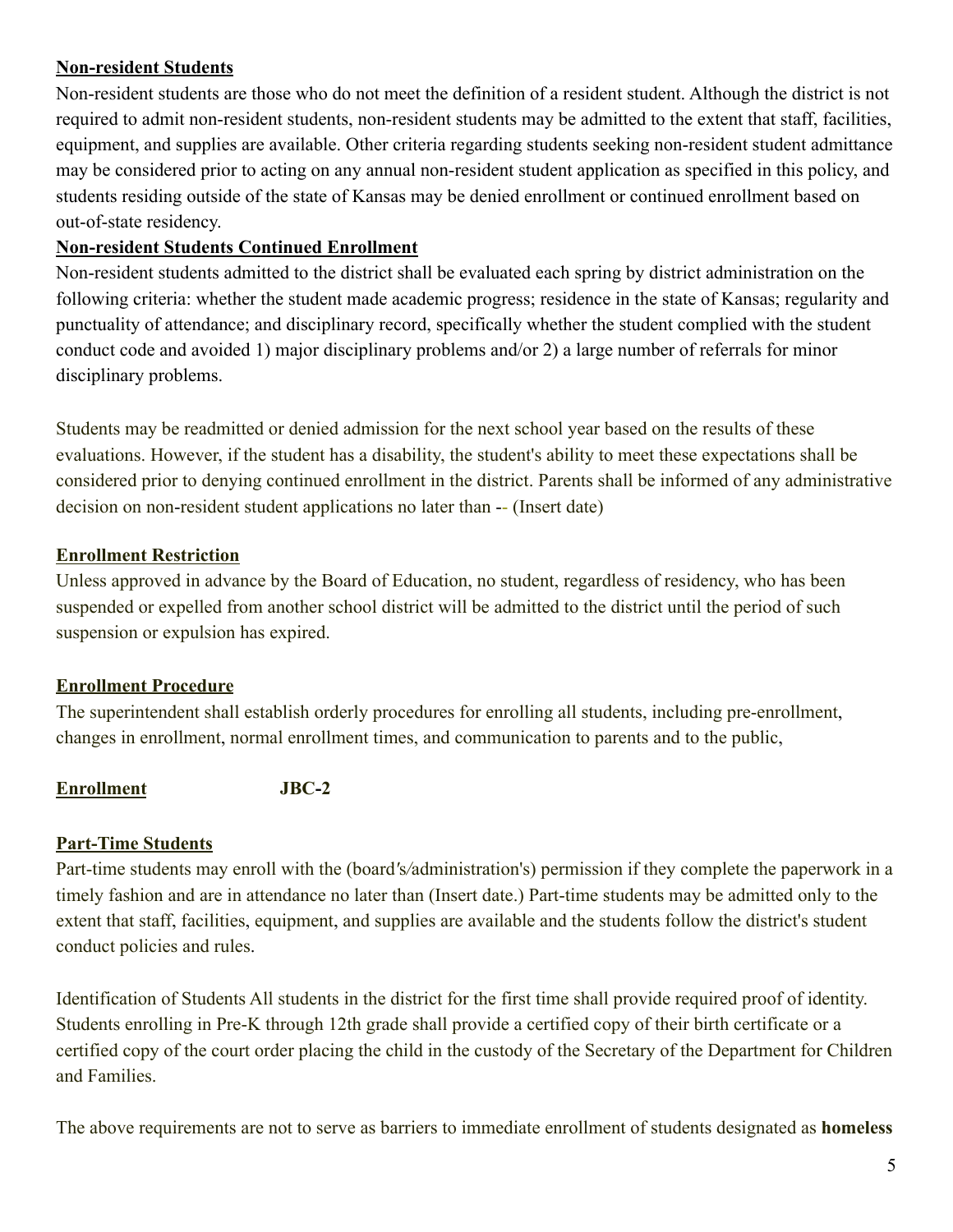# **Non-resident Students**

Non-resident students are those who do not meet the definition of a resident student. Although the district is not required to admit non-resident students, non-resident students may be admitted to the extent that staff, facilities, equipment, and supplies are available. Other criteria regarding students seeking non-resident student admittance may be considered prior to acting on any annual non-resident student application as specified in this policy, and students residing outside of the state of Kansas may be denied enrollment or continued enrollment based on out-of-state residency.

# **Non-resident Students Continued Enrollment**

Non-resident students admitted to the district shall be evaluated each spring by district administration on the following criteria: whether the student made academic progress; residence in the state of Kansas; regularity and punctuality of attendance; and disciplinary record, specifically whether the student complied with the student conduct code and avoided 1) major disciplinary problems and/or 2) a large number of referrals for minor disciplinary problems.

Students may be readmitted or denied admission for the next school year based on the results of these evaluations. However, if the student has a disability, the student's ability to meet these expectations shall be considered prior to denying continued enrollment in the district. Parents shall be informed of any administrative decision on non-resident student applications no later than -- (Insert date)

# **Enrollment Restriction**

Unless approved in advance by the Board of Education, no student, regardless of residency, who has been suspended or expelled from another school district will be admitted to the district until the period of such suspension or expulsion has expired.

# **Enrollment Procedure**

The superintendent shall establish orderly procedures for enrolling all students, including pre-enrollment, changes in enrollment, normal enrollment times, and communication to parents and to the public,

# **Enrollment JBC-2**

# **Part-Time Students**

Part-time students may enroll with the (board*'*s*/*administration's) permission if they complete the paperwork in a timely fashion and are in attendance no later than (Insert date.) Part-time students may be admitted only to the extent that staff, facilities, equipment, and supplies are available and the students follow the district's student conduct policies and rules.

Identification of Students All students in the district for the first time shall provide required proof of identity. Students enrolling in Pre-K through 12th grade shall provide a certified copy of their birth certificate or a certified copy of the court order placing the child in the custody of the Secretary of the Department for Children and Families.

The above requirements are not to serve as barriers to immediate enrollment of students designated as **homeless**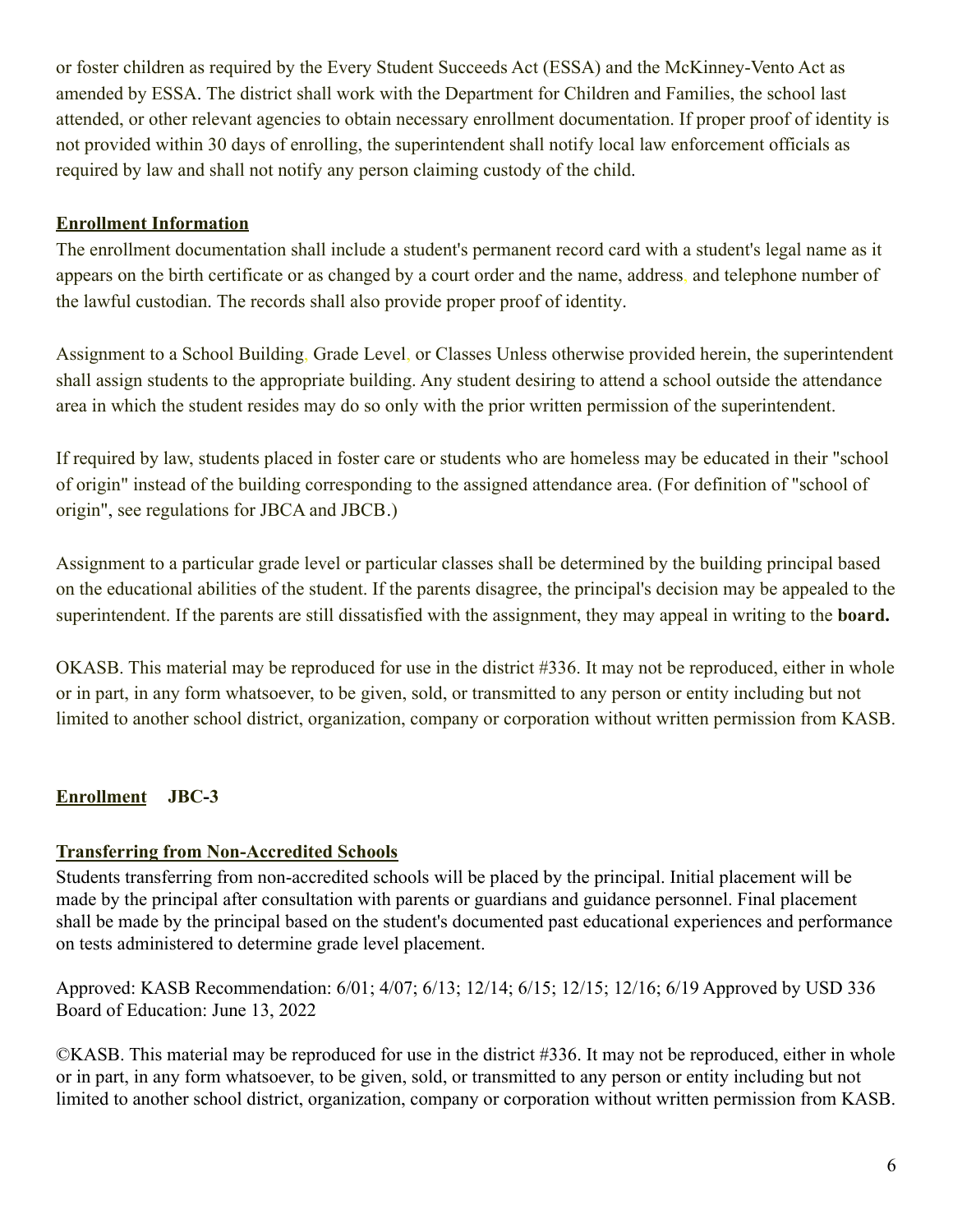or foster children as required by the Every Student Succeeds Act (ESSA) and the McKinney-Vento Act as amended by ESSA. The district shall work with the Department for Children and Families, the school last attended, or other relevant agencies to obtain necessary enrollment documentation. If proper proof of identity is not provided within 30 days of enrolling, the superintendent shall notify local law enforcement officials as required by law and shall not notify any person claiming custody of the child.

# **Enrollment Information**

The enrollment documentation shall include a student's permanent record card with a student's legal name as it appears on the birth certificate or as changed by a court order and the name, address, and telephone number of the lawful custodian. The records shall also provide proper proof of identity.

Assignment to a School Building, Grade Level, or Classes Unless otherwise provided herein, the superintendent shall assign students to the appropriate building. Any student desiring to attend a school outside the attendance area in which the student resides may do so only with the prior written permission of the superintendent.

If required by law, students placed in foster care or students who are homeless may be educated in their "school of origin" instead of the building corresponding to the assigned attendance area. (For definition of "school of origin", see regulations for JBCA and JBCB.)

Assignment to a particular grade level or particular classes shall be determined by the building principal based on the educational abilities of the student. If the parents disagree, the principal's decision may be appealed to the superintendent. If the parents are still dissatisfied with the assignment, they may appeal in writing to the **board.**

OKASB. This material may be reproduced for use in the district #336. It may not be reproduced, either in whole or in part, in any form whatsoever, to be given, sold, or transmitted to any person or entity including but not limited to another school district, organization, company or corporation without written permission from KASB.

# **Enrollment JBC-3**

# **Transferring from Non-Accredited Schools**

Students transferring from non-accredited schools will be placed by the principal. Initial placement will be made by the principal after consultation with parents or guardians and guidance personnel. Final placement shall be made by the principal based on the student's documented past educational experiences and performance on tests administered to determine grade level placement.

Approved: KASB Recommendation: 6/01; 4/07; 6/13; 12/14; 6/15; 12/15; 12/16; 6/19 Approved by USD 336 Board of Education: June 13, 2022

©KASB. This material may be reproduced for use in the district #336. It may not be reproduced, either in whole or in part, in any form whatsoever, to be given, sold, or transmitted to any person or entity including but not limited to another school district, organization, company or corporation without written permission from KASB.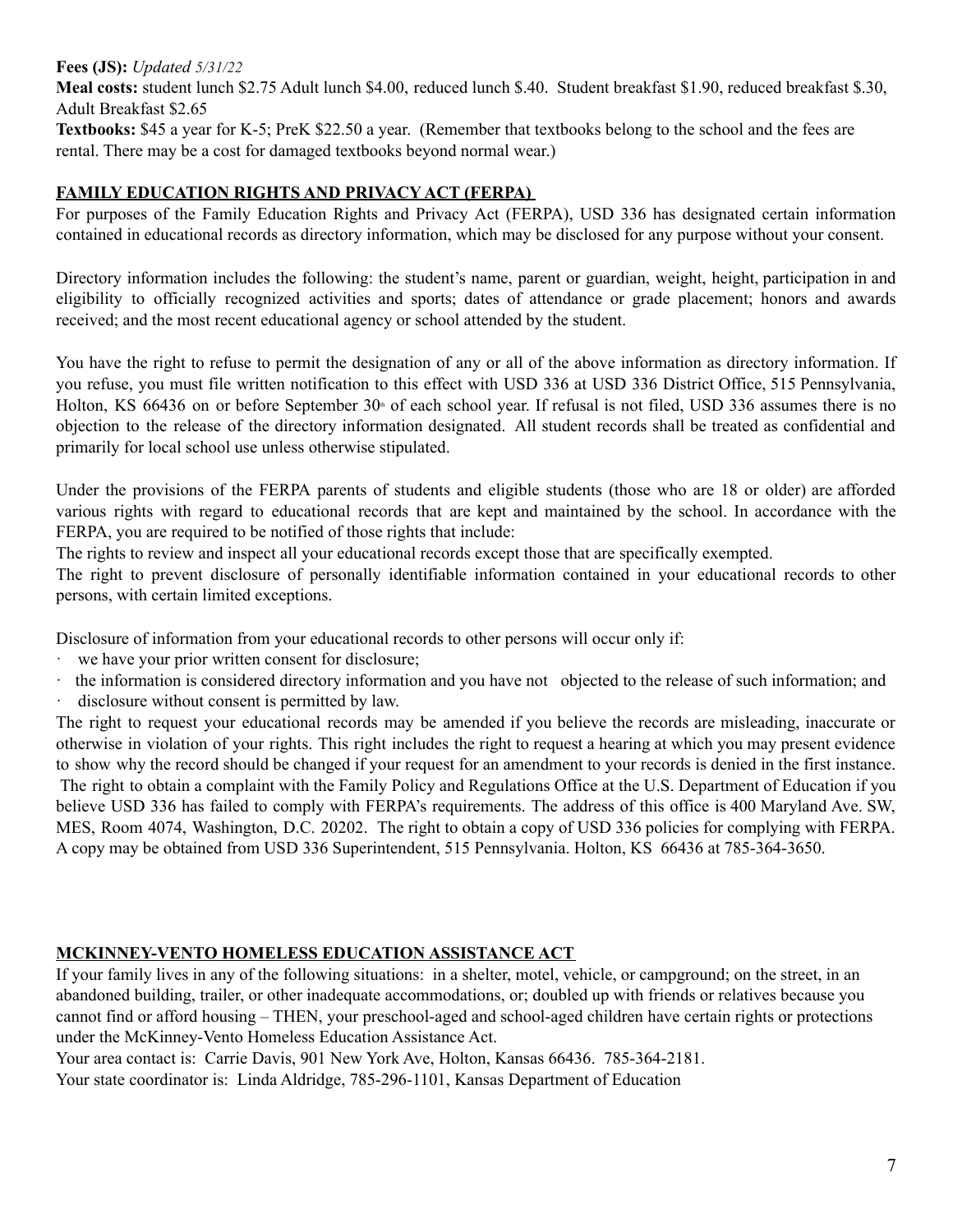#### **Fees (JS):** *Updated 5/31/22*

**Meal costs:** student lunch \$2.75 Adult lunch \$4.00, reduced lunch \$.40. Student breakfast \$1.90, reduced breakfast \$.30, Adult Breakfast \$2.65

**Textbooks:** \$45 a year for K-5; PreK \$22.50 a year. (Remember that textbooks belong to the school and the fees are rental. There may be a cost for damaged textbooks beyond normal wear.)

## **FAMILY EDUCATION RIGHTS AND PRIVACY ACT (FERPA)**

For purposes of the Family Education Rights and Privacy Act (FERPA), USD 336 has designated certain information contained in educational records as directory information, which may be disclosed for any purpose without your consent.

Directory information includes the following: the student's name, parent or guardian, weight, height, participation in and eligibility to officially recognized activities and sports; dates of attendance or grade placement; honors and awards received; and the most recent educational agency or school attended by the student.

You have the right to refuse to permit the designation of any or all of the above information as directory information. If you refuse, you must file written notification to this effect with USD 336 at USD 336 District Office, 515 Pennsylvania, Holton, KS 66436 on or before September 30<sup>th</sup> of each school year. If refusal is not filed, USD 336 assumes there is no objection to the release of the directory information designated. All student records shall be treated as confidential and primarily for local school use unless otherwise stipulated.

Under the provisions of the FERPA parents of students and eligible students (those who are 18 or older) are afforded various rights with regard to educational records that are kept and maintained by the school. In accordance with the FERPA, you are required to be notified of those rights that include:

The rights to review and inspect all your educational records except those that are specifically exempted.

The right to prevent disclosure of personally identifiable information contained in your educational records to other persons, with certain limited exceptions.

Disclosure of information from your educational records to other persons will occur only if:

- we have your prior written consent for disclosure;
- · the information is considered directory information and you have not objected to the release of such information; and
- · disclosure without consent is permitted by law.

The right to request your educational records may be amended if you believe the records are misleading, inaccurate or otherwise in violation of your rights. This right includes the right to request a hearing at which you may present evidence to show why the record should be changed if your request for an amendment to your records is denied in the first instance. The right to obtain a complaint with the Family Policy and Regulations Office at the U.S. Department of Education if you believe USD 336 has failed to comply with FERPA's requirements. The address of this office is 400 Maryland Ave. SW, MES, Room 4074, Washington, D.C. 20202. The right to obtain a copy of USD 336 policies for complying with FERPA. A copy may be obtained from USD 336 Superintendent, 515 Pennsylvania. Holton, KS 66436 at 785-364-3650.

#### **MCKINNEY-VENTO HOMELESS EDUCATION ASSISTANCE ACT**

If your family lives in any of the following situations: in a shelter, motel, vehicle, or campground; on the street, in an abandoned building, trailer, or other inadequate accommodations, or; doubled up with friends or relatives because you cannot find or afford housing – THEN, your preschool-aged and school-aged children have certain rights or protections under the McKinney-Vento Homeless Education Assistance Act.

Your area contact is: Carrie Davis, 901 New York Ave, Holton, Kansas 66436. 785-364-2181.

Your state coordinator is: Linda Aldridge, 785-296-1101, Kansas Department of Education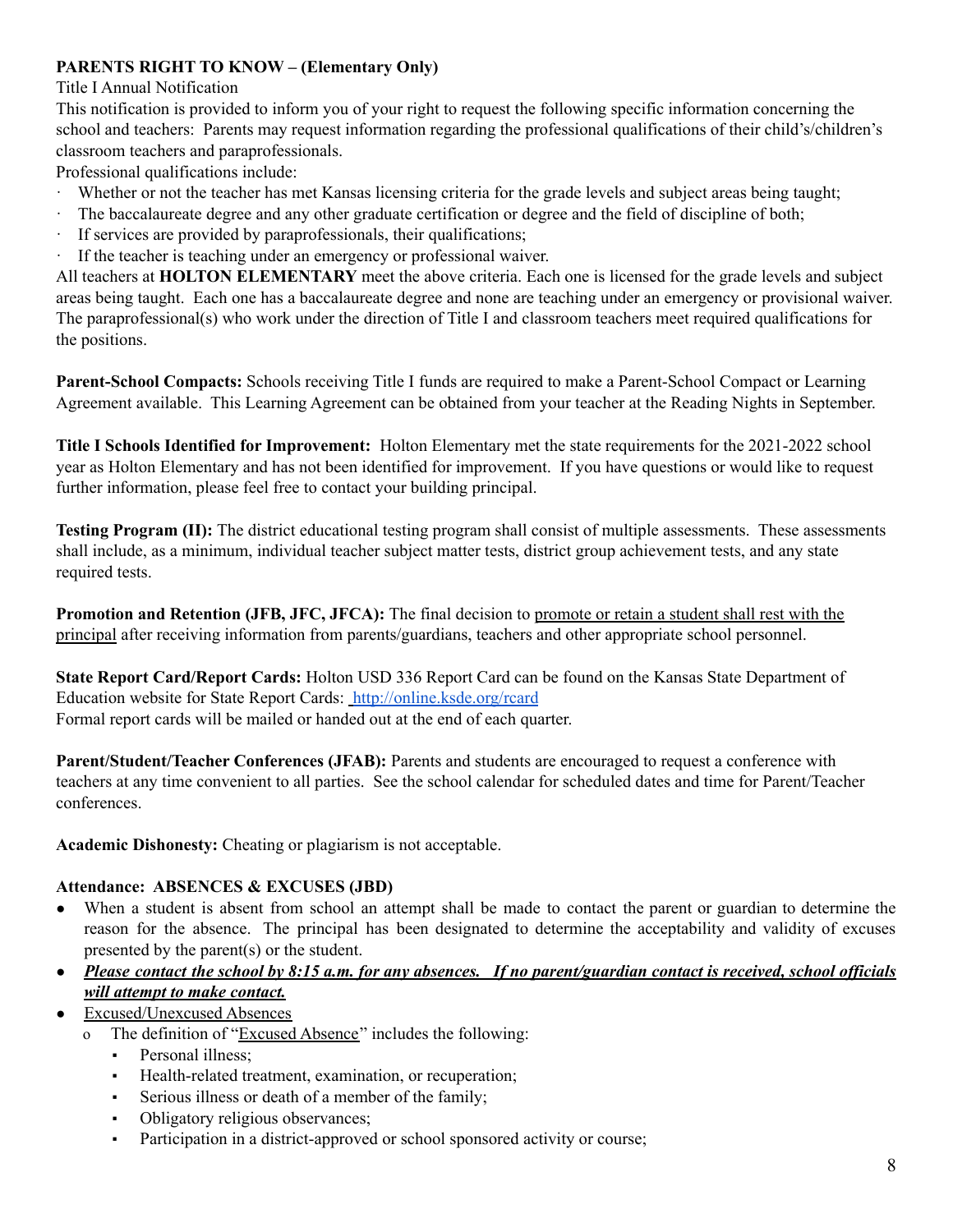# **PARENTS RIGHT TO KNOW – (Elementary Only)**

## Title I Annual Notification

This notification is provided to inform you of your right to request the following specific information concerning the school and teachers: Parents may request information regarding the professional qualifications of their child's/children's classroom teachers and paraprofessionals.

Professional qualifications include:

- · Whether or not the teacher has met Kansas licensing criteria for the grade levels and subject areas being taught;
- · The baccalaureate degree and any other graduate certification or degree and the field of discipline of both;
- · If services are provided by paraprofessionals, their qualifications;
- · If the teacher is teaching under an emergency or professional waiver.

All teachers at **HOLTON ELEMENTARY** meet the above criteria. Each one is licensed for the grade levels and subject areas being taught. Each one has a baccalaureate degree and none are teaching under an emergency or provisional waiver. The paraprofessional(s) who work under the direction of Title I and classroom teachers meet required qualifications for the positions.

**Parent-School Compacts:** Schools receiving Title I funds are required to make a Parent-School Compact or Learning Agreement available. This Learning Agreement can be obtained from your teacher at the Reading Nights in September.

**Title I Schools Identified for Improvement:** Holton Elementary met the state requirements for the 2021-2022 school year as Holton Elementary and has not been identified for improvement. If you have questions or would like to request further information, please feel free to contact your building principal.

**Testing Program (II):** The district educational testing program shall consist of multiple assessments. These assessments shall include, as a minimum, individual teacher subject matter tests, district group achievement tests, and any state required tests.

**Promotion and Retention (JFB, JFC, JFCA):** The final decision to promote or retain a student shall rest with the principal after receiving information from parents/guardians, teachers and other appropriate school personnel.

**State Report Card/Report Cards:** Holton USD 336 Report Card can be found on the Kansas State Department of Education website for State Report Cards: <http://online.ksde.org/rcard> Formal report cards will be mailed or handed out at the end of each quarter.

**Parent/Student/Teacher Conferences (JFAB):** Parents and students are encouraged to request a conference with teachers at any time convenient to all parties. See the school calendar for scheduled dates and time for Parent/Teacher conferences.

**Academic Dishonesty:** Cheating or plagiarism is not acceptable.

# **Attendance: ABSENCES & EXCUSES (JBD)**

● When a student is absent from school an attempt shall be made to contact the parent or guardian to determine the reason for the absence. The principal has been designated to determine the acceptability and validity of excuses presented by the parent(s) or the student.

# • Please contact the school by  $8:15$  a.m. for any absences. If no parent/guardian contact is received, school officials *will attempt to make contact.*

- Excused/Unexcused Absences
	- o The definition of "Excused Absence" includes the following:
		- **•** Personal illness:
		- Health-related treatment, examination, or recuperation;
		- Serious illness or death of a member of the family;
		- Obligatory religious observances;
		- Participation in a district-approved or school sponsored activity or course;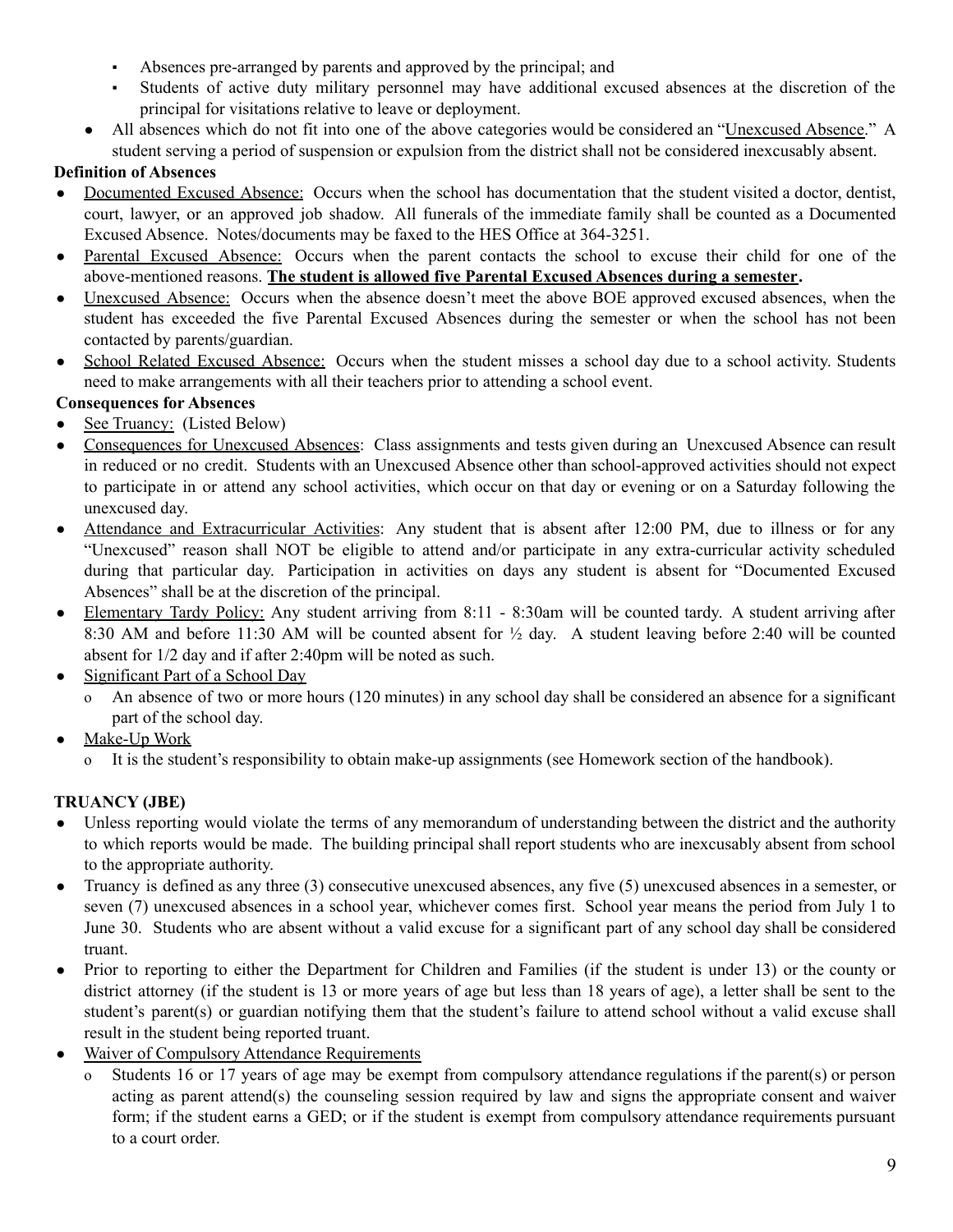- Absences pre-arranged by parents and approved by the principal; and
- Students of active duty military personnel may have additional excused absences at the discretion of the principal for visitations relative to leave or deployment.
- All absences which do not fit into one of the above categories would be considered an "Unexcused Absence." A student serving a period of suspension or expulsion from the district shall not be considered inexcusably absent.

# **Definition of Absences**

- Documented Excused Absence: Occurs when the school has documentation that the student visited a doctor, dentist, court, lawyer, or an approved job shadow. All funerals of the immediate family shall be counted as a Documented Excused Absence. Notes/documents may be faxed to the HES Office at 364-3251.
- Parental Excused Absence: Occurs when the parent contacts the school to excuse their child for one of the above-mentioned reasons. **The student is allowed five Parental Excused Absences during a semester.**
- Unexcused Absence: Occurs when the absence doesn't meet the above BOE approved excused absences, when the student has exceeded the five Parental Excused Absences during the semester or when the school has not been contacted by parents/guardian.
- School Related Excused Absence: Occurs when the student misses a school day due to a school activity. Students need to make arrangements with all their teachers prior to attending a school event.

# **Consequences for Absences**

- See Truancy: (Listed Below)
- Consequences for Unexcused Absences: Class assignments and tests given during an Unexcused Absence can result in reduced or no credit. Students with an Unexcused Absence other than school-approved activities should not expect to participate in or attend any school activities, which occur on that day or evening or on a Saturday following the unexcused day.
- Attendance and Extracurricular Activities: Any student that is absent after 12:00 PM, due to illness or for any "Unexcused" reason shall NOT be eligible to attend and/or participate in any extra-curricular activity scheduled during that particular day. Participation in activities on days any student is absent for "Documented Excused Absences" shall be at the discretion of the principal.
- Elementary Tardy Policy: Any student arriving from 8:11 8:30am will be counted tardy. A student arriving after 8:30 AM and before 11:30 AM will be counted absent for  $\frac{1}{2}$  day. A student leaving before 2:40 will be counted absent for 1/2 day and if after 2:40pm will be noted as such.
- Significant Part of a School Day
	- o An absence of two or more hours (120 minutes) in any school day shall be considered an absence for a significant part of the school day.
- Make-Up Work
	- o It is the student's responsibility to obtain make-up assignments (see Homework section of the handbook).

# **TRUANCY (JBE)**

- Unless reporting would violate the terms of any memorandum of understanding between the district and the authority to which reports would be made. The building principal shall report students who are inexcusably absent from school to the appropriate authority.
- Truancy is defined as any three (3) consecutive unexcused absences, any five (5) unexcused absences in a semester, or seven (7) unexcused absences in a school year, whichever comes first. School year means the period from July 1 to June 30. Students who are absent without a valid excuse for a significant part of any school day shall be considered truant.
- Prior to reporting to either the Department for Children and Families (if the student is under 13) or the county or district attorney (if the student is 13 or more years of age but less than 18 years of age), a letter shall be sent to the student's parent(s) or guardian notifying them that the student's failure to attend school without a valid excuse shall result in the student being reported truant.
- Waiver of Compulsory Attendance Requirements
	- o Students 16 or 17 years of age may be exempt from compulsory attendance regulations if the parent(s) or person acting as parent attend(s) the counseling session required by law and signs the appropriate consent and waiver form; if the student earns a GED; or if the student is exempt from compulsory attendance requirements pursuant to a court order.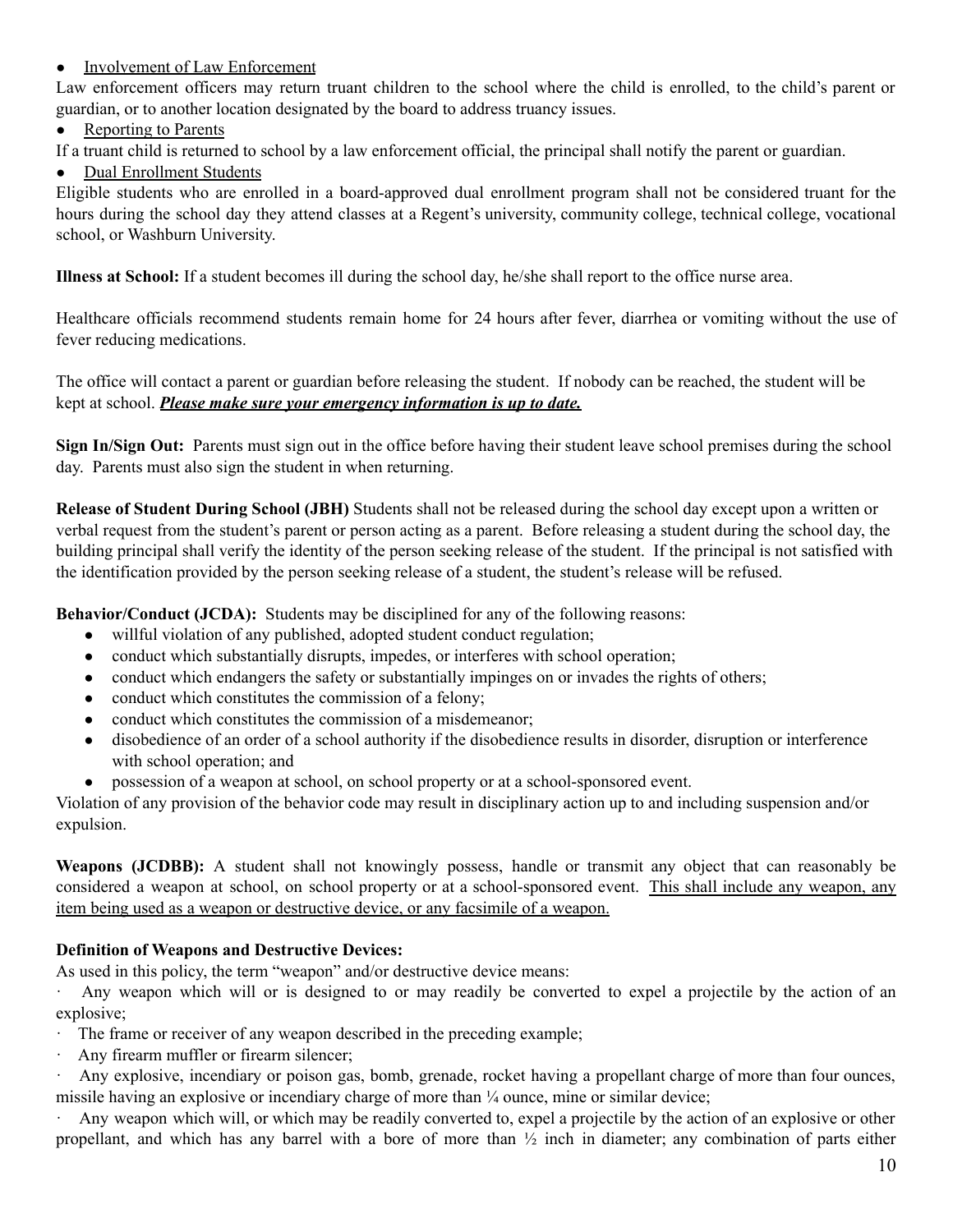## • Involvement of Law Enforcement

Law enforcement officers may return truant children to the school where the child is enrolled, to the child's parent or guardian, or to another location designated by the board to address truancy issues.

## • Reporting to Parents

If a truant child is returned to school by a law enforcement official, the principal shall notify the parent or guardian.

# ● Dual Enrollment Students

Eligible students who are enrolled in a board-approved dual enrollment program shall not be considered truant for the hours during the school day they attend classes at a Regent's university, community college, technical college, vocational school, or Washburn University.

**Illness at School:** If a student becomes ill during the school day, he/she shall report to the office nurse area.

Healthcare officials recommend students remain home for 24 hours after fever, diarrhea or vomiting without the use of fever reducing medications.

The office will contact a parent or guardian before releasing the student. If nobody can be reached, the student will be kept at school. *Please make sure your emergency information is up to date.*

**Sign In/Sign Out:** Parents must sign out in the office before having their student leave school premises during the school day. Parents must also sign the student in when returning.

**Release of Student During School (JBH)** Students shall not be released during the school day except upon a written or verbal request from the student's parent or person acting as a parent. Before releasing a student during the school day, the building principal shall verify the identity of the person seeking release of the student. If the principal is not satisfied with the identification provided by the person seeking release of a student, the student's release will be refused.

**Behavior/Conduct (JCDA):** Students may be disciplined for any of the following reasons:

- willful violation of any published, adopted student conduct regulation;
- conduct which substantially disrupts, impedes, or interferes with school operation;
- conduct which endangers the safety or substantially impinges on or invades the rights of others;
- conduct which constitutes the commission of a felony;
- conduct which constitutes the commission of a misdemeanor;
- disobedience of an order of a school authority if the disobedience results in disorder, disruption or interference with school operation; and
- possession of a weapon at school, on school property or at a school-sponsored event.

Violation of any provision of the behavior code may result in disciplinary action up to and including suspension and/or expulsion.

**Weapons (JCDBB):** A student shall not knowingly possess, handle or transmit any object that can reasonably be considered a weapon at school, on school property or at a school-sponsored event. This shall include any weapon, any item being used as a weapon or destructive device, or any facsimile of a weapon.

#### **Definition of Weapons and Destructive Devices:**

As used in this policy, the term "weapon" and/or destructive device means:

Any weapon which will or is designed to or may readily be converted to expel a projectile by the action of an explosive;

- The frame or receiver of any weapon described in the preceding example;
- · Any firearm muffler or firearm silencer;

· Any explosive, incendiary or poison gas, bomb, grenade, rocket having a propellant charge of more than four ounces, missile having an explosive or incendiary charge of more than ¼ ounce, mine or similar device;

· Any weapon which will, or which may be readily converted to, expel a projectile by the action of an explosive or other propellant, and which has any barrel with a bore of more than ½ inch in diameter; any combination of parts either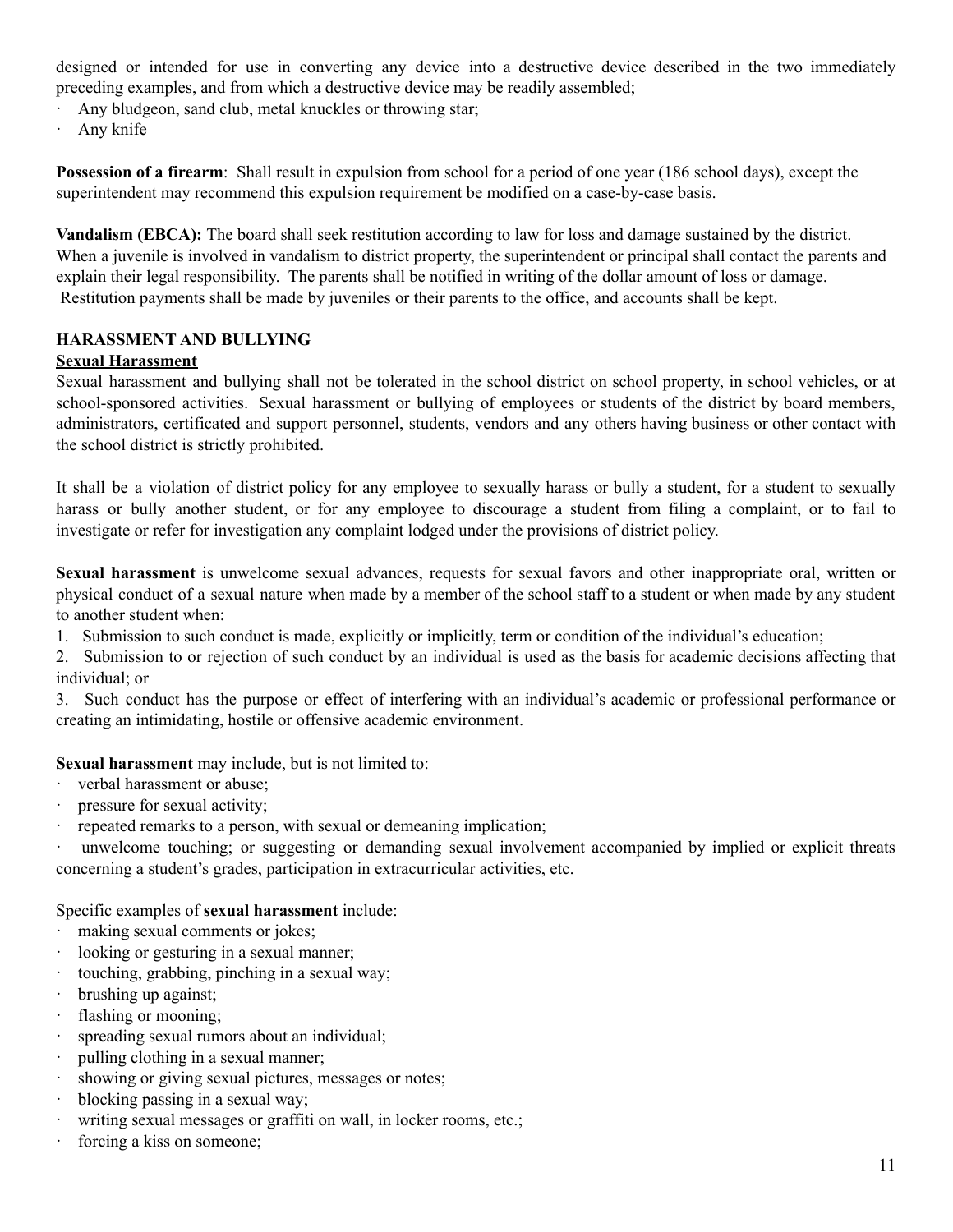designed or intended for use in converting any device into a destructive device described in the two immediately preceding examples, and from which a destructive device may be readily assembled;

· Any bludgeon, sand club, metal knuckles or throwing star;

· Any knife

**Possession of a firearm:** Shall result in expulsion from school for a period of one year (186 school days), except the superintendent may recommend this expulsion requirement be modified on a case-by-case basis.

**Vandalism (EBCA):** The board shall seek restitution according to law for loss and damage sustained by the district. When a juvenile is involved in vandalism to district property, the superintendent or principal shall contact the parents and explain their legal responsibility. The parents shall be notified in writing of the dollar amount of loss or damage. Restitution payments shall be made by juveniles or their parents to the office, and accounts shall be kept.

#### **HARASSMENT AND BULLYING**

#### **Sexual Harassment**

Sexual harassment and bullying shall not be tolerated in the school district on school property, in school vehicles, or at school-sponsored activities. Sexual harassment or bullying of employees or students of the district by board members, administrators, certificated and support personnel, students, vendors and any others having business or other contact with the school district is strictly prohibited.

It shall be a violation of district policy for any employee to sexually harass or bully a student, for a student to sexually harass or bully another student, or for any employee to discourage a student from filing a complaint, or to fail to investigate or refer for investigation any complaint lodged under the provisions of district policy.

**Sexual harassment** is unwelcome sexual advances, requests for sexual favors and other inappropriate oral, written or physical conduct of a sexual nature when made by a member of the school staff to a student or when made by any student to another student when:

1. Submission to such conduct is made, explicitly or implicitly, term or condition of the individual's education;

2. Submission to or rejection of such conduct by an individual is used as the basis for academic decisions affecting that individual; or

3. Such conduct has the purpose or effect of interfering with an individual's academic or professional performance or creating an intimidating, hostile or offensive academic environment.

#### **Sexual harassment** may include, but is not limited to:

- · verbal harassment or abuse;
- · pressure for sexual activity;
- · repeated remarks to a person, with sexual or demeaning implication;

· unwelcome touching; or suggesting or demanding sexual involvement accompanied by implied or explicit threats concerning a student's grades, participation in extracurricular activities, etc.

#### Specific examples of **sexual harassment** include:

- · making sexual comments or jokes;
- · looking or gesturing in a sexual manner;
- · touching, grabbing, pinching in a sexual way;
- · brushing up against;
- · flashing or mooning;
- · spreading sexual rumors about an individual;
- · pulling clothing in a sexual manner;
- · showing or giving sexual pictures, messages or notes;
- · blocking passing in a sexual way;
- · writing sexual messages or graffiti on wall, in locker rooms, etc.;
- · forcing a kiss on someone;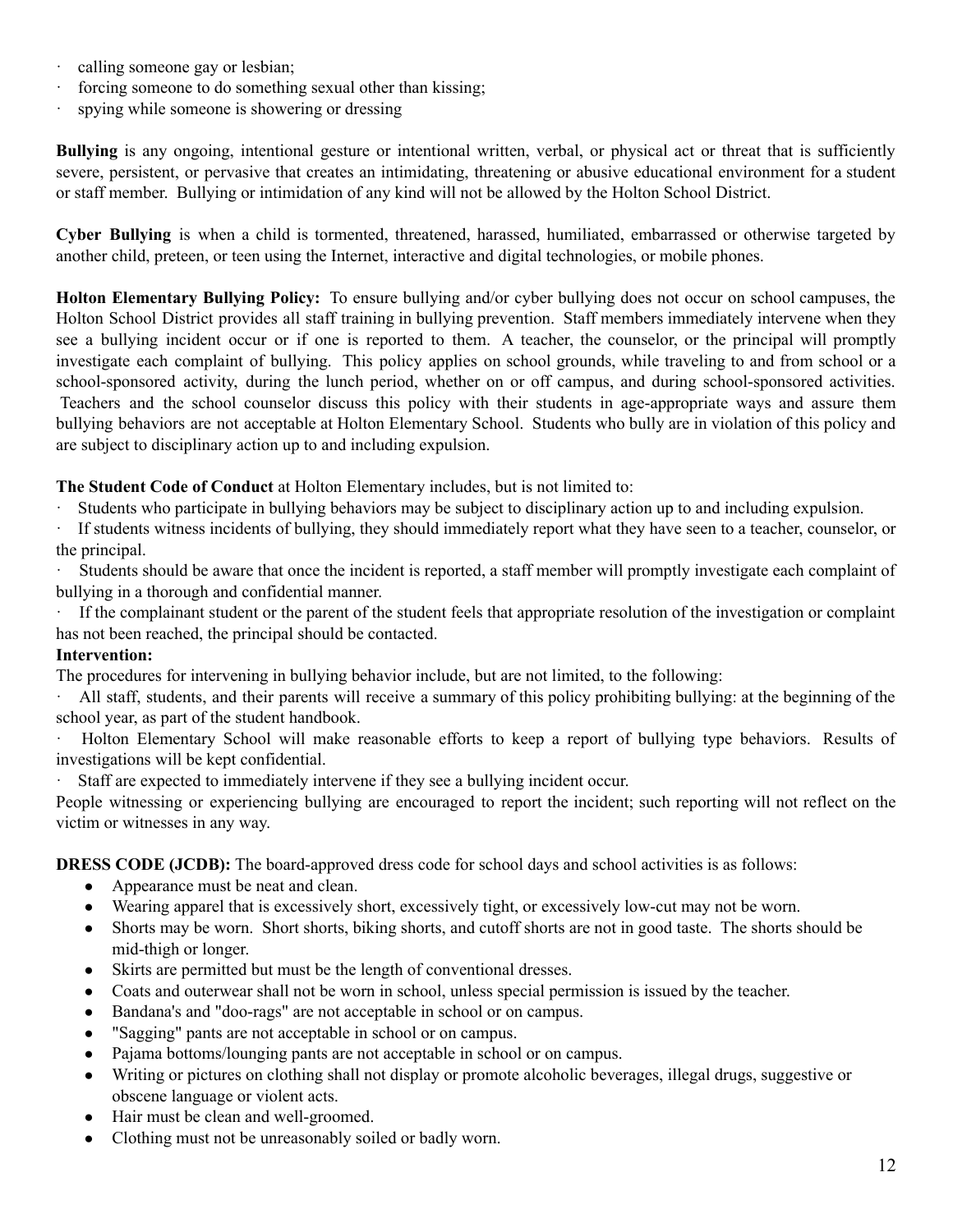- · calling someone gay or lesbian;
- · forcing someone to do something sexual other than kissing;
- · spying while someone is showering or dressing

**Bullying** is any ongoing, intentional gesture or intentional written, verbal, or physical act or threat that is sufficiently severe, persistent, or pervasive that creates an intimidating, threatening or abusive educational environment for a student or staff member. Bullying or intimidation of any kind will not be allowed by the Holton School District.

**Cyber Bullying** is when a child is tormented, threatened, harassed, humiliated, embarrassed or otherwise targeted by another child, preteen, or teen using the Internet, interactive and digital technologies, or mobile phones.

**Holton Elementary Bullying Policy:** To ensure bullying and/or cyber bullying does not occur on school campuses, the Holton School District provides all staff training in bullying prevention. Staff members immediately intervene when they see a bullying incident occur or if one is reported to them. A teacher, the counselor, or the principal will promptly investigate each complaint of bullying. This policy applies on school grounds, while traveling to and from school or a school-sponsored activity, during the lunch period, whether on or off campus, and during school-sponsored activities. Teachers and the school counselor discuss this policy with their students in age-appropriate ways and assure them bullying behaviors are not acceptable at Holton Elementary School. Students who bully are in violation of this policy and are subject to disciplinary action up to and including expulsion.

**The Student Code of Conduct** at Holton Elementary includes, but is not limited to:

· Students who participate in bullying behaviors may be subject to disciplinary action up to and including expulsion.

· If students witness incidents of bullying, they should immediately report what they have seen to a teacher, counselor, or the principal.

· Students should be aware that once the incident is reported, a staff member will promptly investigate each complaint of bullying in a thorough and confidential manner.

· If the complainant student or the parent of the student feels that appropriate resolution of the investigation or complaint has not been reached, the principal should be contacted.

#### **Intervention:**

The procedures for intervening in bullying behavior include, but are not limited, to the following:

All staff, students, and their parents will receive a summary of this policy prohibiting bullying: at the beginning of the school year, as part of the student handbook.

· Holton Elementary School will make reasonable efforts to keep a report of bullying type behaviors. Results of investigations will be kept confidential.

Staff are expected to immediately intervene if they see a bullying incident occur.

People witnessing or experiencing bullying are encouraged to report the incident; such reporting will not reflect on the victim or witnesses in any way.

**DRESS CODE (JCDB):** The board-approved dress code for school days and school activities is as follows:

- Appearance must be neat and clean.
- Wearing apparel that is excessively short, excessively tight, or excessively low-cut may not be worn.
- Shorts may be worn. Short shorts, biking shorts, and cutoff shorts are not in good taste. The shorts should be mid-thigh or longer.
- Skirts are permitted but must be the length of conventional dresses.
- Coats and outerwear shall not be worn in school, unless special permission is issued by the teacher.
- Bandana's and "doo-rags" are not acceptable in school or on campus.
- "Sagging" pants are not acceptable in school or on campus.
- Pajama bottoms/lounging pants are not acceptable in school or on campus.
- Writing or pictures on clothing shall not display or promote alcoholic beverages, illegal drugs, suggestive or obscene language or violent acts.
- Hair must be clean and well-groomed.
- Clothing must not be unreasonably soiled or badly worn.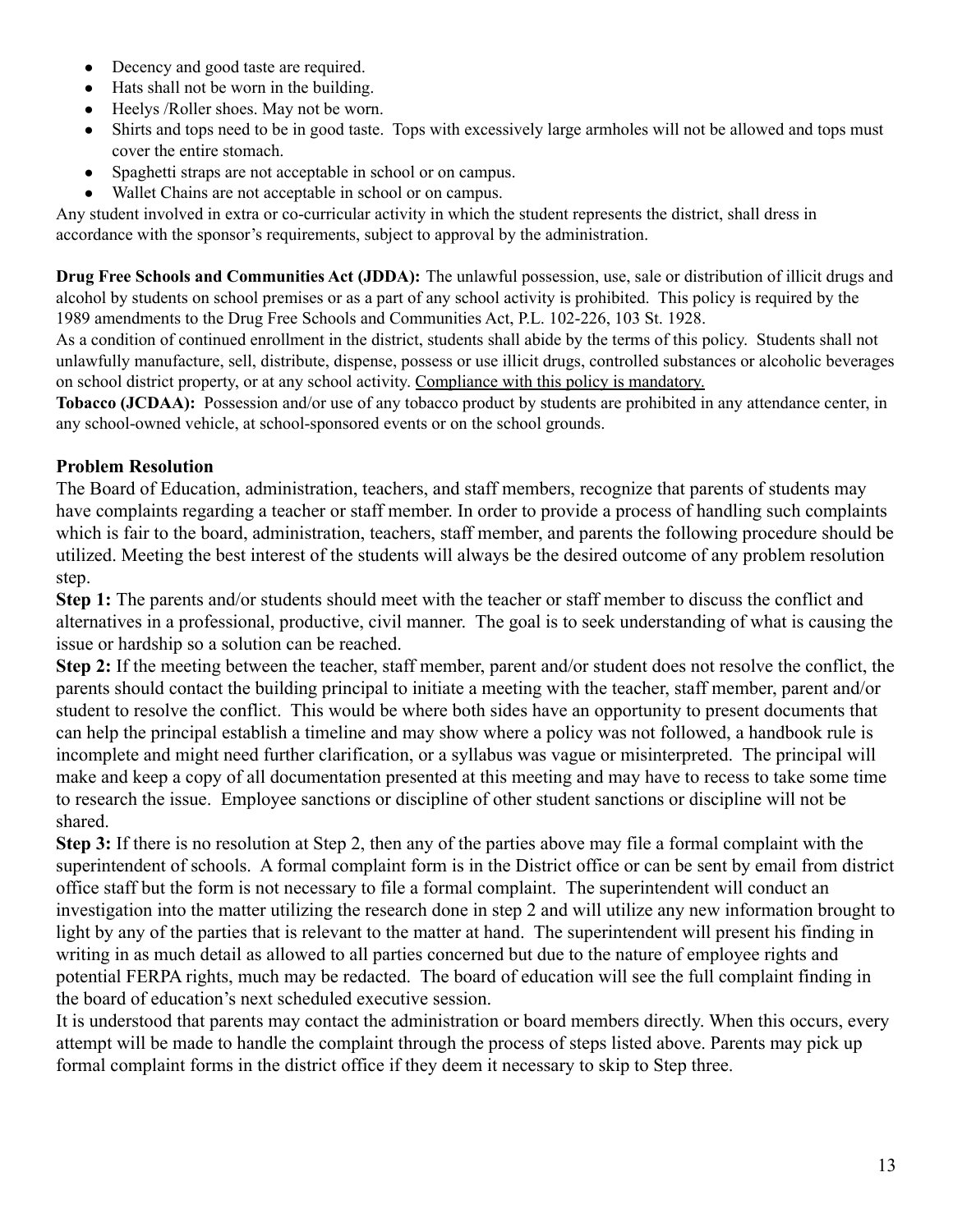- Decency and good taste are required.
- Hats shall not be worn in the building.
- Heelys /Roller shoes. May not be worn.
- Shirts and tops need to be in good taste. Tops with excessively large armholes will not be allowed and tops must cover the entire stomach.
- Spaghetti straps are not acceptable in school or on campus.
- Wallet Chains are not acceptable in school or on campus.

Any student involved in extra or co-curricular activity in which the student represents the district, shall dress in accordance with the sponsor's requirements, subject to approval by the administration.

**Drug Free Schools and Communities Act (JDDA):** The unlawful possession, use, sale or distribution of illicit drugs and alcohol by students on school premises or as a part of any school activity is prohibited. This policy is required by the 1989 amendments to the Drug Free Schools and Communities Act, P.L. 102-226, 103 St. 1928.

As a condition of continued enrollment in the district, students shall abide by the terms of this policy. Students shall not unlawfully manufacture, sell, distribute, dispense, possess or use illicit drugs, controlled substances or alcoholic beverages on school district property, or at any school activity. Compliance with this policy is mandatory.

**Tobacco (JCDAA):** Possession and/or use of any tobacco product by students are prohibited in any attendance center, in any school-owned vehicle, at school-sponsored events or on the school grounds.

# **Problem Resolution**

The Board of Education, administration, teachers, and staff members, recognize that parents of students may have complaints regarding a teacher or staff member. In order to provide a process of handling such complaints which is fair to the board, administration, teachers, staff member, and parents the following procedure should be utilized. Meeting the best interest of the students will always be the desired outcome of any problem resolution step.

**Step 1:** The parents and/or students should meet with the teacher or staff member to discuss the conflict and alternatives in a professional, productive, civil manner. The goal is to seek understanding of what is causing the issue or hardship so a solution can be reached.

**Step 2:** If the meeting between the teacher, staff member, parent and/or student does not resolve the conflict, the parents should contact the building principal to initiate a meeting with the teacher, staff member, parent and/or student to resolve the conflict. This would be where both sides have an opportunity to present documents that can help the principal establish a timeline and may show where a policy was not followed, a handbook rule is incomplete and might need further clarification, or a syllabus was vague or misinterpreted. The principal will make and keep a copy of all documentation presented at this meeting and may have to recess to take some time to research the issue. Employee sanctions or discipline of other student sanctions or discipline will not be shared.

**Step 3:** If there is no resolution at Step 2, then any of the parties above may file a formal complaint with the superintendent of schools. A formal complaint form is in the District office or can be sent by email from district office staff but the form is not necessary to file a formal complaint. The superintendent will conduct an investigation into the matter utilizing the research done in step 2 and will utilize any new information brought to light by any of the parties that is relevant to the matter at hand. The superintendent will present his finding in writing in as much detail as allowed to all parties concerned but due to the nature of employee rights and potential FERPA rights, much may be redacted. The board of education will see the full complaint finding in the board of education's next scheduled executive session.

It is understood that parents may contact the administration or board members directly. When this occurs, every attempt will be made to handle the complaint through the process of steps listed above. Parents may pick up formal complaint forms in the district office if they deem it necessary to skip to Step three.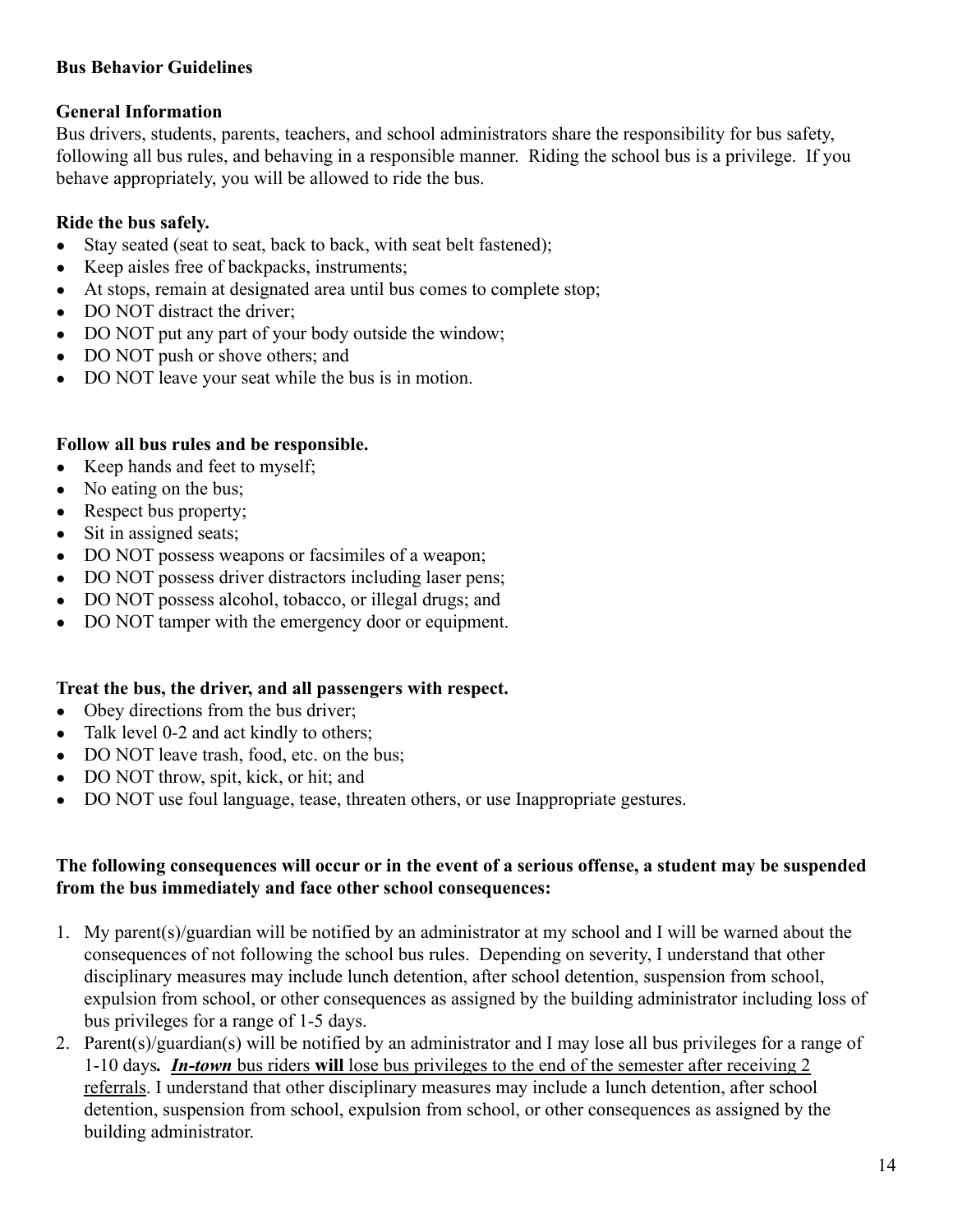# **Bus Behavior Guidelines**

# **General Information**

Bus drivers, students, parents, teachers, and school administrators share the responsibility for bus safety, following all bus rules, and behaving in a responsible manner. Riding the school bus is a privilege. If you behave appropriately, you will be allowed to ride the bus.

# **Ride the bus safely.**

- Stay seated (seat to seat, back to back, with seat belt fastened);
- Keep aisles free of backpacks, instruments:
- At stops, remain at designated area until bus comes to complete stop;
- DO NOT distract the driver:
- DO NOT put any part of your body outside the window;
- DO NOT push or shove others; and
- DO NOT leave your seat while the bus is in motion.

# **Follow all bus rules and be responsible.**

- Keep hands and feet to myself;
- No eating on the bus;
- Respect bus property;
- Sit in assigned seats:
- DO NOT possess weapons or facsimiles of a weapon;
- DO NOT possess driver distractors including laser pens;
- DO NOT possess alcohol, tobacco, or illegal drugs; and
- DO NOT tamper with the emergency door or equipment.

# **Treat the bus, the driver, and all passengers with respect.**

- Obey directions from the bus driver;
- Talk level 0-2 and act kindly to others;
- DO NOT leave trash, food, etc. on the bus:
- DO NOT throw, spit, kick, or hit; and
- DO NOT use foul language, tease, threaten others, or use Inappropriate gestures.

# **The following consequences will occur or in the event of a serious offense, a student may be suspended from the bus immediately and face other school consequences:**

- 1. My parent(s)/guardian will be notified by an administrator at my school and I will be warned about the consequences of not following the school bus rules. Depending on severity, I understand that other disciplinary measures may include lunch detention, after school detention, suspension from school, expulsion from school, or other consequences as assigned by the building administrator including loss of bus privileges for a range of 1-5 days.
- 2. Parent(s)/guardian(s) will be notified by an administrator and I may lose all bus privileges for a range of 1-10 days*. In-town* bus riders **will** lose bus privileges to the end of the semester after receiving 2 referrals. I understand that other disciplinary measures may include a lunch detention, after school detention, suspension from school, expulsion from school, or other consequences as assigned by the building administrator.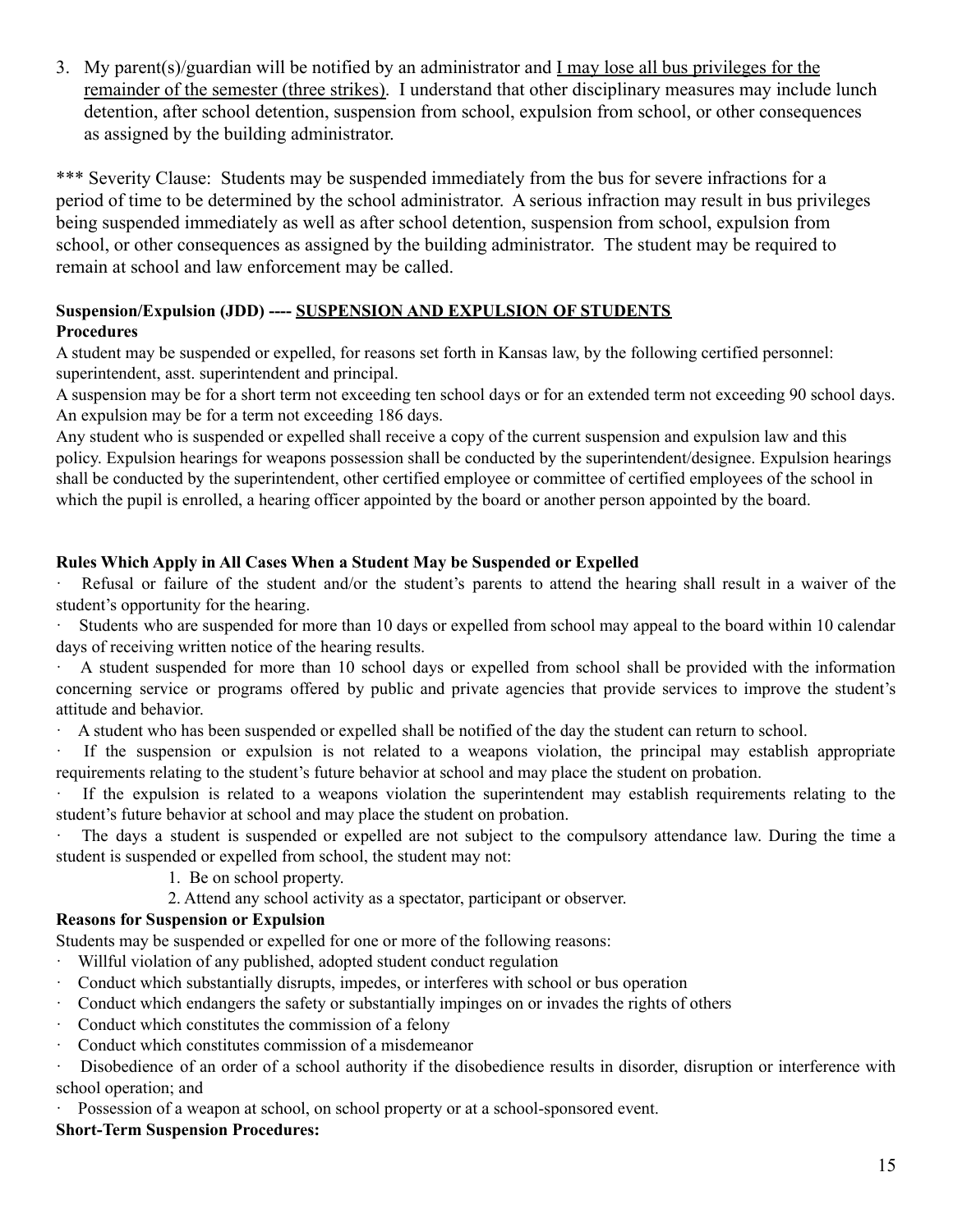3. My parent(s)/guardian will be notified by an administrator and I may lose all bus privileges for the remainder of the semester (three strikes). I understand that other disciplinary measures may include lunch detention, after school detention, suspension from school, expulsion from school, or other consequences as assigned by the building administrator.

\*\*\* Severity Clause: Students may be suspended immediately from the bus for severe infractions for a period of time to be determined by the school administrator. A serious infraction may result in bus privileges being suspended immediately as well as after school detention, suspension from school, expulsion from school, or other consequences as assigned by the building administrator. The student may be required to remain at school and law enforcement may be called.

## **Suspension/Expulsion (JDD) ---- SUSPENSION AND EXPULSION OF STUDENTS Procedures**

A student may be suspended or expelled, for reasons set forth in Kansas law, by the following certified personnel: superintendent, asst. superintendent and principal.

A suspension may be for a short term not exceeding ten school days or for an extended term not exceeding 90 school days. An expulsion may be for a term not exceeding 186 days.

Any student who is suspended or expelled shall receive a copy of the current suspension and expulsion law and this policy. Expulsion hearings for weapons possession shall be conducted by the superintendent/designee. Expulsion hearings shall be conducted by the superintendent, other certified employee or committee of certified employees of the school in which the pupil is enrolled, a hearing officer appointed by the board or another person appointed by the board.

## **Rules Which Apply in All Cases When a Student May be Suspended or Expelled**

Refusal or failure of the student and/or the student's parents to attend the hearing shall result in a waiver of the student's opportunity for the hearing.

Students who are suspended for more than 10 days or expelled from school may appeal to the board within 10 calendar days of receiving written notice of the hearing results.

· A student suspended for more than 10 school days or expelled from school shall be provided with the information concerning service or programs offered by public and private agencies that provide services to improve the student's attitude and behavior.

· A student who has been suspended or expelled shall be notified of the day the student can return to school.

· If the suspension or expulsion is not related to a weapons violation, the principal may establish appropriate requirements relating to the student's future behavior at school and may place the student on probation.

If the expulsion is related to a weapons violation the superintendent may establish requirements relating to the student's future behavior at school and may place the student on probation.

The days a student is suspended or expelled are not subject to the compulsory attendance law. During the time a student is suspended or expelled from school, the student may not:

1. Be on school property.

2. Attend any school activity as a spectator, participant or observer.

# **Reasons for Suspension or Expulsion**

Students may be suspended or expelled for one or more of the following reasons:

- · Willful violation of any published, adopted student conduct regulation
- · Conduct which substantially disrupts, impedes, or interferes with school or bus operation
- · Conduct which endangers the safety or substantially impinges on or invades the rights of others
- · Conduct which constitutes the commission of a felony
- · Conduct which constitutes commission of a misdemeanor

· Disobedience of an order of a school authority if the disobedience results in disorder, disruption or interference with school operation; and

Possession of a weapon at school, on school property or at a school-sponsored event.

#### **Short-Term Suspension Procedures:**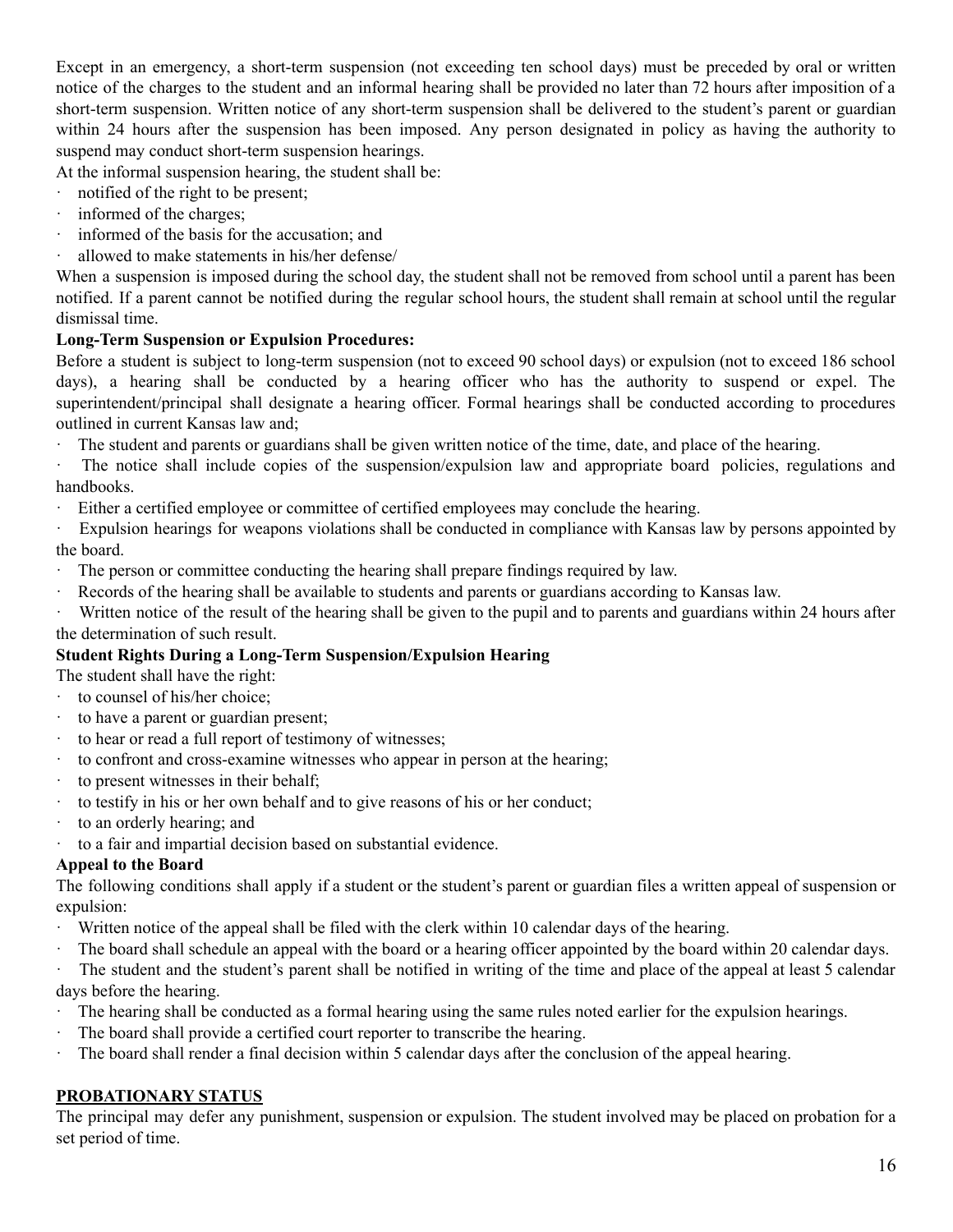Except in an emergency, a short-term suspension (not exceeding ten school days) must be preceded by oral or written notice of the charges to the student and an informal hearing shall be provided no later than 72 hours after imposition of a short-term suspension. Written notice of any short-term suspension shall be delivered to the student's parent or guardian within 24 hours after the suspension has been imposed. Any person designated in policy as having the authority to suspend may conduct short-term suspension hearings.

At the informal suspension hearing, the student shall be:

- · notified of the right to be present;
- · informed of the charges;
- · informed of the basis for the accusation; and
- · allowed to make statements in his/her defense/

When a suspension is imposed during the school day, the student shall not be removed from school until a parent has been notified. If a parent cannot be notified during the regular school hours, the student shall remain at school until the regular dismissal time.

## **Long-Term Suspension or Expulsion Procedures:**

Before a student is subject to long-term suspension (not to exceed 90 school days) or expulsion (not to exceed 186 school days), a hearing shall be conducted by a hearing officer who has the authority to suspend or expel. The superintendent/principal shall designate a hearing officer. Formal hearings shall be conducted according to procedures outlined in current Kansas law and;

- The student and parents or guardians shall be given written notice of the time, date, and place of the hearing.
- · The notice shall include copies of the suspension/expulsion law and appropriate board policies, regulations and handbooks.
- Either a certified employee or committee of certified employees may conclude the hearing.
- · Expulsion hearings for weapons violations shall be conducted in compliance with Kansas law by persons appointed by the board.
- · The person or committee conducting the hearing shall prepare findings required by law.
- · Records of the hearing shall be available to students and parents or guardians according to Kansas law.

· Written notice of the result of the hearing shall be given to the pupil and to parents and guardians within 24 hours after the determination of such result.

# **Student Rights During a Long-Term Suspension/Expulsion Hearing**

The student shall have the right:

- to counsel of his/her choice;
- · to have a parent or guardian present;
- to hear or read a full report of testimony of witnesses;
- · to confront and cross-examine witnesses who appear in person at the hearing;
- · to present witnesses in their behalf;
- · to testify in his or her own behalf and to give reasons of his or her conduct;
- · to an orderly hearing; and
- · to a fair and impartial decision based on substantial evidence.

# **Appeal to the Board**

The following conditions shall apply if a student or the student's parent or guardian files a written appeal of suspension or expulsion:

- · Written notice of the appeal shall be filed with the clerk within 10 calendar days of the hearing.
- · The board shall schedule an appeal with the board or a hearing officer appointed by the board within 20 calendar days.

The student and the student's parent shall be notified in writing of the time and place of the appeal at least 5 calendar days before the hearing.

- · The hearing shall be conducted as a formal hearing using the same rules noted earlier for the expulsion hearings.
- The board shall provide a certified court reporter to transcribe the hearing.
- · The board shall render a final decision within 5 calendar days after the conclusion of the appeal hearing.

# **PROBATIONARY STATUS**

The principal may defer any punishment, suspension or expulsion. The student involved may be placed on probation for a set period of time.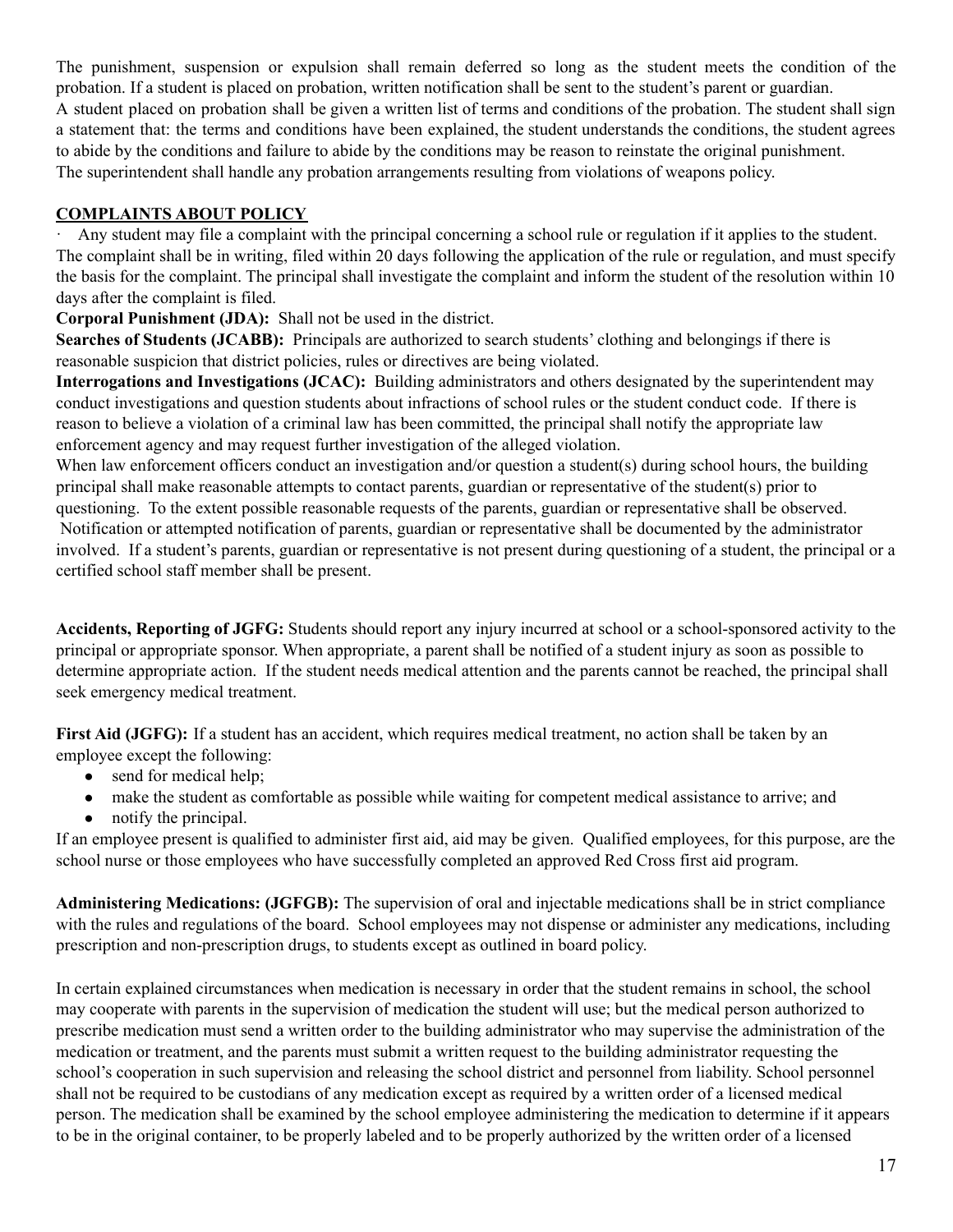The punishment, suspension or expulsion shall remain deferred so long as the student meets the condition of the probation. If a student is placed on probation, written notification shall be sent to the student's parent or guardian. A student placed on probation shall be given a written list of terms and conditions of the probation. The student shall sign a statement that: the terms and conditions have been explained, the student understands the conditions, the student agrees to abide by the conditions and failure to abide by the conditions may be reason to reinstate the original punishment. The superintendent shall handle any probation arrangements resulting from violations of weapons policy.

## **COMPLAINTS ABOUT POLICY**

· Any student may file a complaint with the principal concerning a school rule or regulation if it applies to the student. The complaint shall be in writing, filed within 20 days following the application of the rule or regulation, and must specify the basis for the complaint. The principal shall investigate the complaint and inform the student of the resolution within 10 days after the complaint is filed.

**Corporal Punishment (JDA):** Shall not be used in the district.

**Searches of Students (JCABB):** Principals are authorized to search students' clothing and belongings if there is reasonable suspicion that district policies, rules or directives are being violated.

**Interrogations and Investigations (JCAC):** Building administrators and others designated by the superintendent may conduct investigations and question students about infractions of school rules or the student conduct code. If there is reason to believe a violation of a criminal law has been committed, the principal shall notify the appropriate law enforcement agency and may request further investigation of the alleged violation.

When law enforcement officers conduct an investigation and/or question a student(s) during school hours, the building principal shall make reasonable attempts to contact parents, guardian or representative of the student(s) prior to questioning. To the extent possible reasonable requests of the parents, guardian or representative shall be observed. Notification or attempted notification of parents, guardian or representative shall be documented by the administrator involved. If a student's parents, guardian or representative is not present during questioning of a student, the principal or a certified school staff member shall be present.

**Accidents, Reporting of JGFG:** Students should report any injury incurred at school or a school-sponsored activity to the principal or appropriate sponsor. When appropriate, a parent shall be notified of a student injury as soon as possible to determine appropriate action. If the student needs medical attention and the parents cannot be reached, the principal shall seek emergency medical treatment.

**First Aid (JGFG):** If a student has an accident, which requires medical treatment, no action shall be taken by an employee except the following:

- $\bullet$  send for medical help;
- make the student as comfortable as possible while waiting for competent medical assistance to arrive; and
- notify the principal.

If an employee present is qualified to administer first aid, aid may be given. Qualified employees, for this purpose, are the school nurse or those employees who have successfully completed an approved Red Cross first aid program.

**Administering Medications: (JGFGB):** The supervision of oral and injectable medications shall be in strict compliance with the rules and regulations of the board. School employees may not dispense or administer any medications, including prescription and non-prescription drugs, to students except as outlined in board policy.

In certain explained circumstances when medication is necessary in order that the student remains in school, the school may cooperate with parents in the supervision of medication the student will use; but the medical person authorized to prescribe medication must send a written order to the building administrator who may supervise the administration of the medication or treatment, and the parents must submit a written request to the building administrator requesting the school's cooperation in such supervision and releasing the school district and personnel from liability. School personnel shall not be required to be custodians of any medication except as required by a written order of a licensed medical person. The medication shall be examined by the school employee administering the medication to determine if it appears to be in the original container, to be properly labeled and to be properly authorized by the written order of a licensed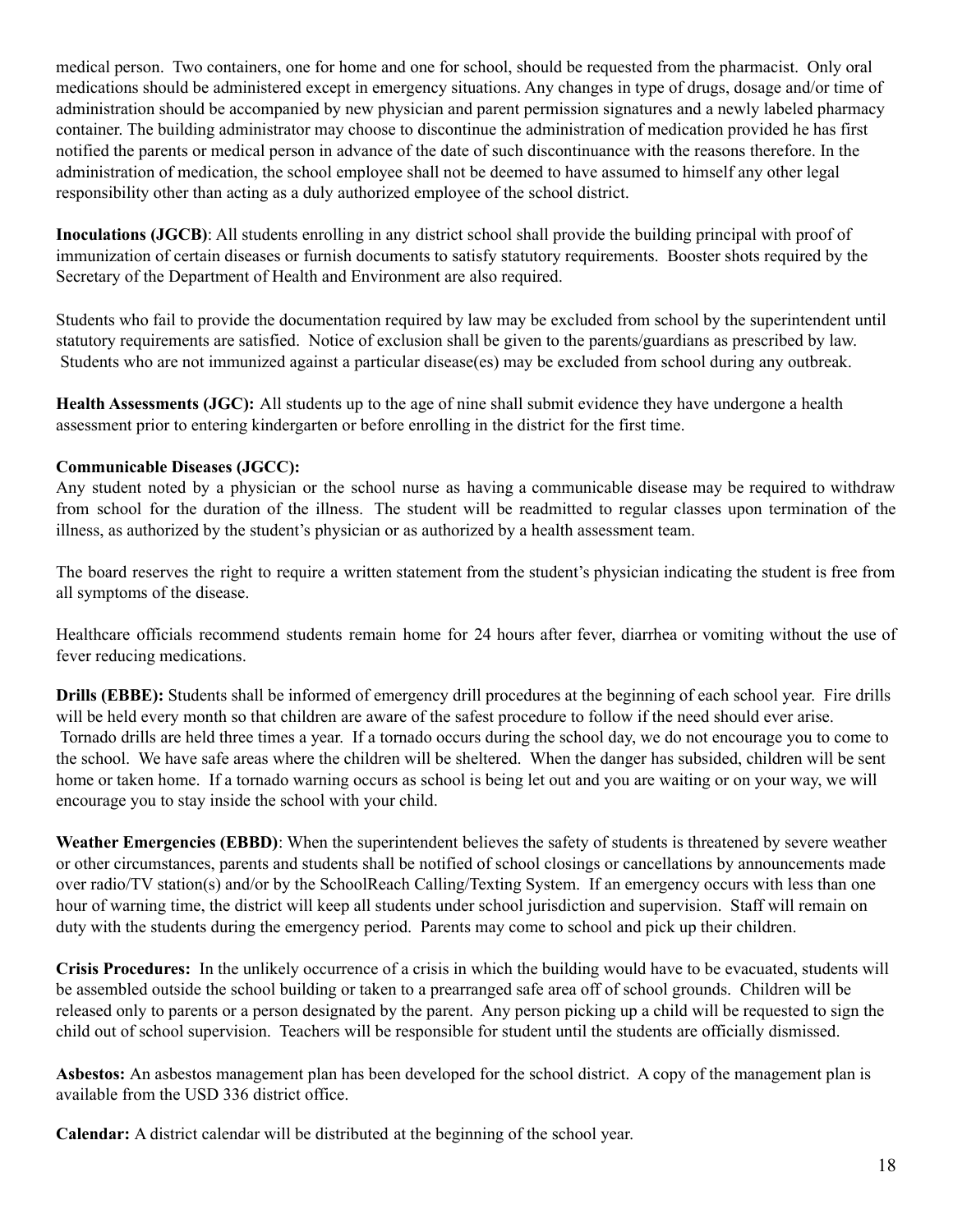medical person. Two containers, one for home and one for school, should be requested from the pharmacist. Only oral medications should be administered except in emergency situations. Any changes in type of drugs, dosage and/or time of administration should be accompanied by new physician and parent permission signatures and a newly labeled pharmacy container. The building administrator may choose to discontinue the administration of medication provided he has first notified the parents or medical person in advance of the date of such discontinuance with the reasons therefore. In the administration of medication, the school employee shall not be deemed to have assumed to himself any other legal responsibility other than acting as a duly authorized employee of the school district.

**Inoculations (JGCB)**: All students enrolling in any district school shall provide the building principal with proof of immunization of certain diseases or furnish documents to satisfy statutory requirements. Booster shots required by the Secretary of the Department of Health and Environment are also required.

Students who fail to provide the documentation required by law may be excluded from school by the superintendent until statutory requirements are satisfied. Notice of exclusion shall be given to the parents/guardians as prescribed by law. Students who are not immunized against a particular disease(es) may be excluded from school during any outbreak.

**Health Assessments (JGC):** All students up to the age of nine shall submit evidence they have undergone a health assessment prior to entering kindergarten or before enrolling in the district for the first time.

#### **Communicable Diseases (JGCC):**

Any student noted by a physician or the school nurse as having a communicable disease may be required to withdraw from school for the duration of the illness. The student will be readmitted to regular classes upon termination of the illness, as authorized by the student's physician or as authorized by a health assessment team.

The board reserves the right to require a written statement from the student's physician indicating the student is free from all symptoms of the disease.

Healthcare officials recommend students remain home for 24 hours after fever, diarrhea or vomiting without the use of fever reducing medications.

**Drills** (**EBBE**): Students shall be informed of emergency drill procedures at the beginning of each school year. Fire drills will be held every month so that children are aware of the safest procedure to follow if the need should ever arise. Tornado drills are held three times a year. If a tornado occurs during the school day, we do not encourage you to come to the school. We have safe areas where the children will be sheltered. When the danger has subsided, children will be sent home or taken home. If a tornado warning occurs as school is being let out and you are waiting or on your way, we will encourage you to stay inside the school with your child.

**Weather Emergencies (EBBD)**: When the superintendent believes the safety of students is threatened by severe weather or other circumstances, parents and students shall be notified of school closings or cancellations by announcements made over radio/TV station(s) and/or by the SchoolReach Calling/Texting System. If an emergency occurs with less than one hour of warning time, the district will keep all students under school jurisdiction and supervision. Staff will remain on duty with the students during the emergency period. Parents may come to school and pick up their children.

**Crisis Procedures:** In the unlikely occurrence of a crisis in which the building would have to be evacuated, students will be assembled outside the school building or taken to a prearranged safe area off of school grounds. Children will be released only to parents or a person designated by the parent. Any person picking up a child will be requested to sign the child out of school supervision. Teachers will be responsible for student until the students are officially dismissed.

**Asbestos:** An asbestos management plan has been developed for the school district. A copy of the management plan is available from the USD 336 district office.

**Calendar:** A district calendar will be distributed at the beginning of the school year.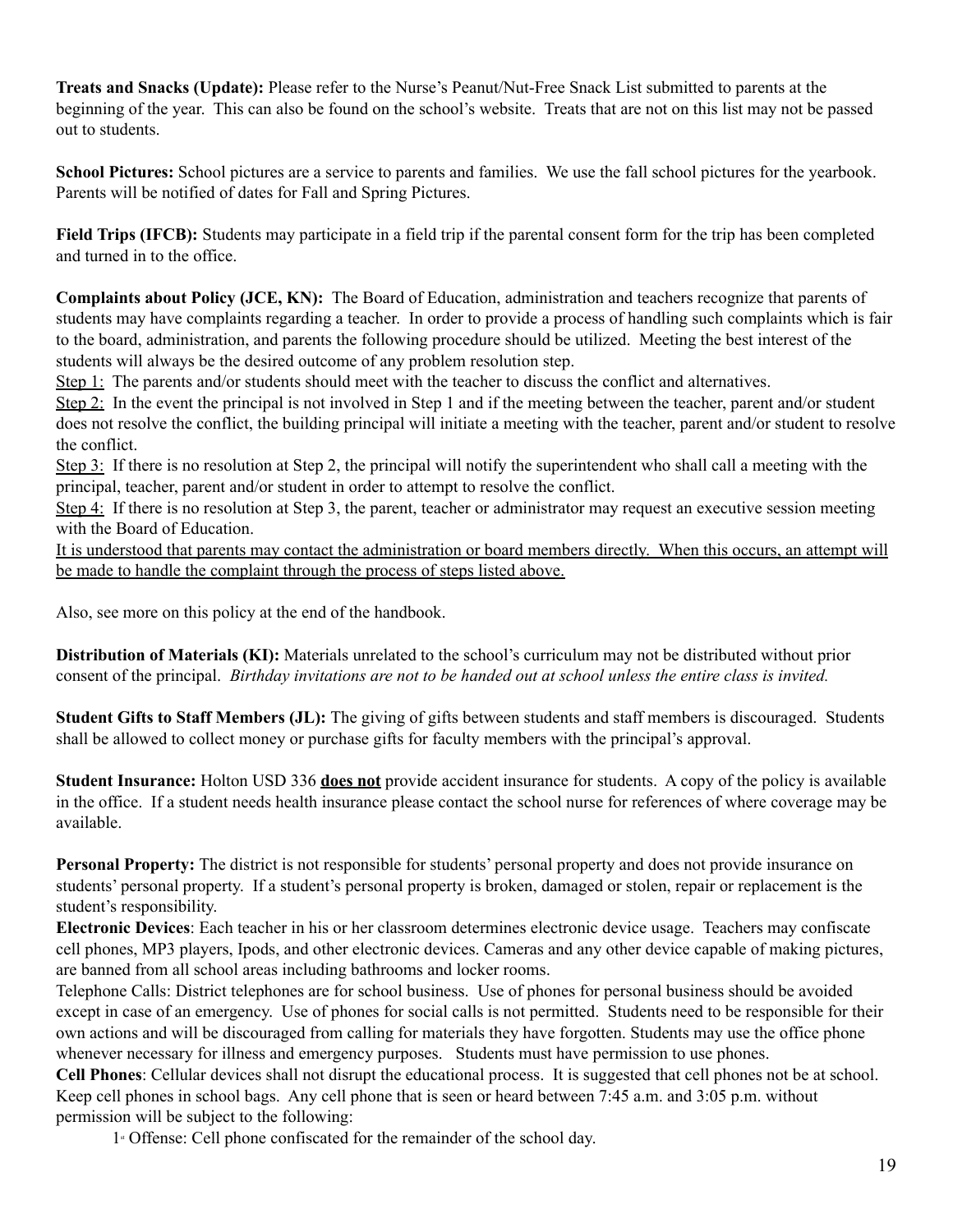**Treats and Snacks (Update):** Please refer to the Nurse's Peanut/Nut-Free Snack List submitted to parents at the beginning of the year. This can also be found on the school's website. Treats that are not on this list may not be passed out to students.

**School Pictures:** School pictures are a service to parents and families. We use the fall school pictures for the yearbook. Parents will be notified of dates for Fall and Spring Pictures.

**Field Trips (IFCB):** Students may participate in a field trip if the parental consent form for the trip has been completed and turned in to the office.

**Complaints about Policy (JCE, KN):** The Board of Education, administration and teachers recognize that parents of students may have complaints regarding a teacher. In order to provide a process of handling such complaints which is fair to the board, administration, and parents the following procedure should be utilized. Meeting the best interest of the students will always be the desired outcome of any problem resolution step.

Step 1: The parents and/or students should meet with the teacher to discuss the conflict and alternatives.

Step 2: In the event the principal is not involved in Step 1 and if the meeting between the teacher, parent and/or student does not resolve the conflict, the building principal will initiate a meeting with the teacher, parent and/or student to resolve the conflict.

Step 3: If there is no resolution at Step 2, the principal will notify the superintendent who shall call a meeting with the principal, teacher, parent and/or student in order to attempt to resolve the conflict.

Step 4: If there is no resolution at Step 3, the parent, teacher or administrator may request an executive session meeting with the Board of Education.

It is understood that parents may contact the administration or board members directly. When this occurs, an attempt will be made to handle the complaint through the process of steps listed above.

Also, see more on this policy at the end of the handbook.

**Distribution of Materials (KI):** Materials unrelated to the school's curriculum may not be distributed without prior consent of the principal. Birthday invitations are not to be handed out at school unless the entire class is invited.

**Student Gifts to Staff Members (JL):** The giving of gifts between students and staff members is discouraged. Students shall be allowed to collect money or purchase gifts for faculty members with the principal's approval.

**Student Insurance:** Holton USD 336 **does not** provide accident insurance for students. A copy of the policy is available in the office. If a student needs health insurance please contact the school nurse for references of where coverage may be available.

**Personal Property:** The district is not responsible for students' personal property and does not provide insurance on students' personal property. If a student's personal property is broken, damaged or stolen, repair or replacement is the student's responsibility.

**Electronic Devices**: Each teacher in his or her classroom determines electronic device usage. Teachers may confiscate cell phones, MP3 players, Ipods, and other electronic devices. Cameras and any other device capable of making pictures, are banned from all school areas including bathrooms and locker rooms.

Telephone Calls: District telephones are for school business. Use of phones for personal business should be avoided except in case of an emergency. Use of phones for social calls is not permitted. Students need to be responsible for their own actions and will be discouraged from calling for materials they have forgotten. Students may use the office phone whenever necessary for illness and emergency purposes. Students must have permission to use phones.

**Cell Phones**: Cellular devices shall not disrupt the educational process. It is suggested that cell phones not be at school. Keep cell phones in school bags. Any cell phone that is seen or heard between 7:45 a.m. and 3:05 p.m. without permission will be subject to the following:

1st Offense: Cell phone confiscated for the remainder of the school day.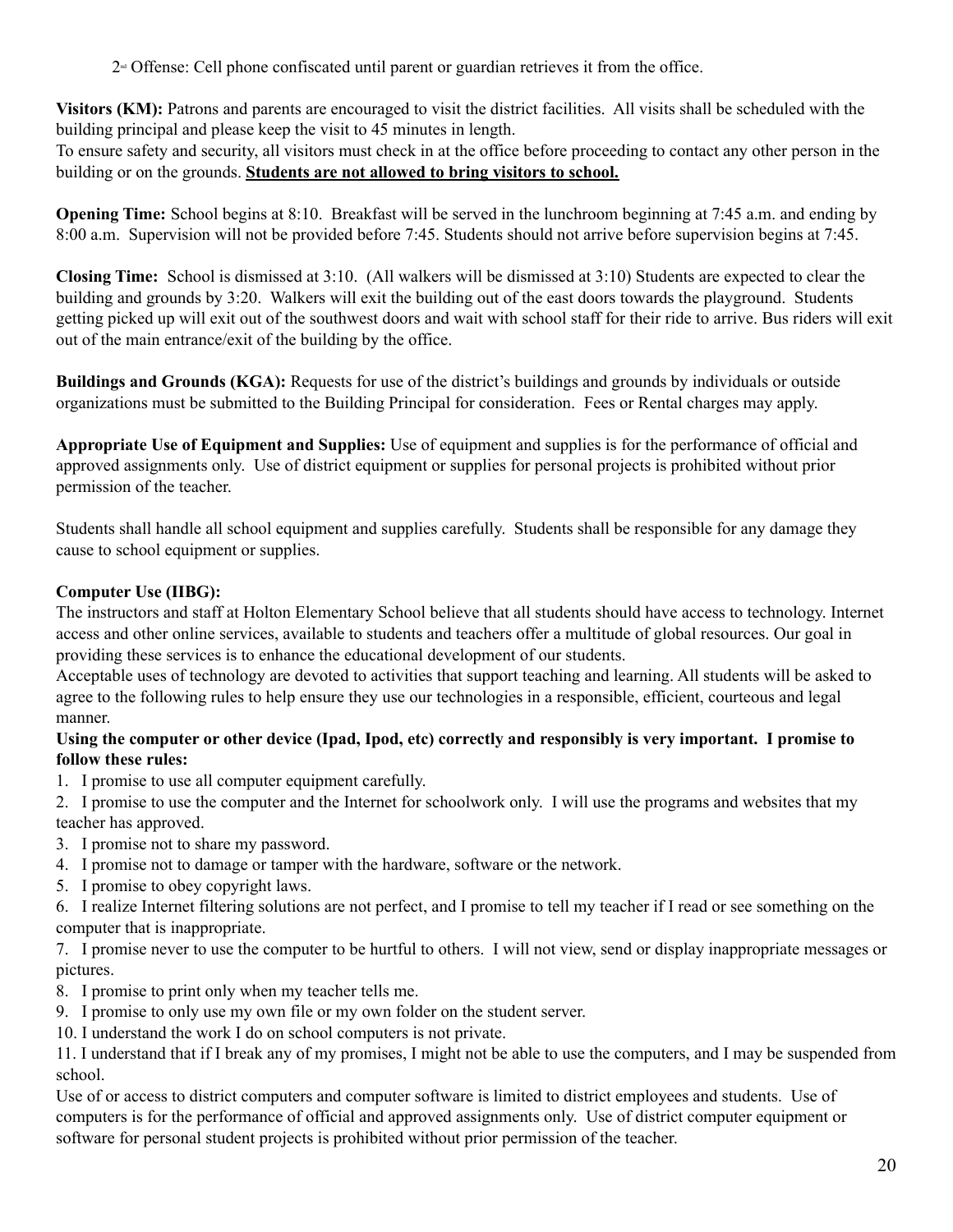$2<sup>\omega</sup>$  Offense: Cell phone confiscated until parent or guardian retrieves it from the office.

**Visitors (KM):** Patrons and parents are encouraged to visit the district facilities. All visits shall be scheduled with the building principal and please keep the visit to 45 minutes in length.

To ensure safety and security, all visitors must check in at the office before proceeding to contact any other person in the building or on the grounds. **Students are not allowed to bring visitors to school.**

**Opening Time:** School begins at 8:10. Breakfast will be served in the lunchroom beginning at 7:45 a.m. and ending by 8:00 a.m. Supervision will not be provided before 7:45. Students should not arrive before supervision begins at 7:45.

**Closing Time:** School is dismissed at 3:10. (All walkers will be dismissed at 3:10) Students are expected to clear the building and grounds by 3:20. Walkers will exit the building out of the east doors towards the playground. Students getting picked up will exit out of the southwest doors and wait with school staff for their ride to arrive. Bus riders will exit out of the main entrance/exit of the building by the office.

**Buildings and Grounds (KGA):** Requests for use of the district's buildings and grounds by individuals or outside organizations must be submitted to the Building Principal for consideration. Fees or Rental charges may apply.

**Appropriate Use of Equipment and Supplies:** Use of equipment and supplies is for the performance of official and approved assignments only. Use of district equipment or supplies for personal projects is prohibited without prior permission of the teacher.

Students shall handle all school equipment and supplies carefully. Students shall be responsible for any damage they cause to school equipment or supplies.

# **Computer Use (IIBG):**

The instructors and staff at Holton Elementary School believe that all students should have access to technology. Internet access and other online services, available to students and teachers offer a multitude of global resources. Our goal in providing these services is to enhance the educational development of our students.

Acceptable uses of technology are devoted to activities that support teaching and learning. All students will be asked to agree to the following rules to help ensure they use our technologies in a responsible, efficient, courteous and legal manner.

## Using the computer or other device (Ipad, Ipod, etc) correctly and responsibly is very important. I promise to **follow these rules:**

- 1. I promise to use all computer equipment carefully.
- 2. I promise to use the computer and the Internet for schoolwork only. I will use the programs and websites that my teacher has approved.
- 3. I promise not to share my password.
- 4. I promise not to damage or tamper with the hardware, software or the network.
- 5. I promise to obey copyright laws.

6. I realize Internet filtering solutions are not perfect, and I promise to tell my teacher if I read or see something on the computer that is inappropriate.

7. I promise never to use the computer to be hurtful to others. I will not view, send or display inappropriate messages or pictures.

- 8. I promise to print only when my teacher tells me.
- 9. I promise to only use my own file or my own folder on the student server.
- 10. I understand the work I do on school computers is not private.

11. I understand that if I break any of my promises, I might not be able to use the computers, and I may be suspended from school.

Use of or access to district computers and computer software is limited to district employees and students. Use of computers is for the performance of official and approved assignments only. Use of district computer equipment or software for personal student projects is prohibited without prior permission of the teacher.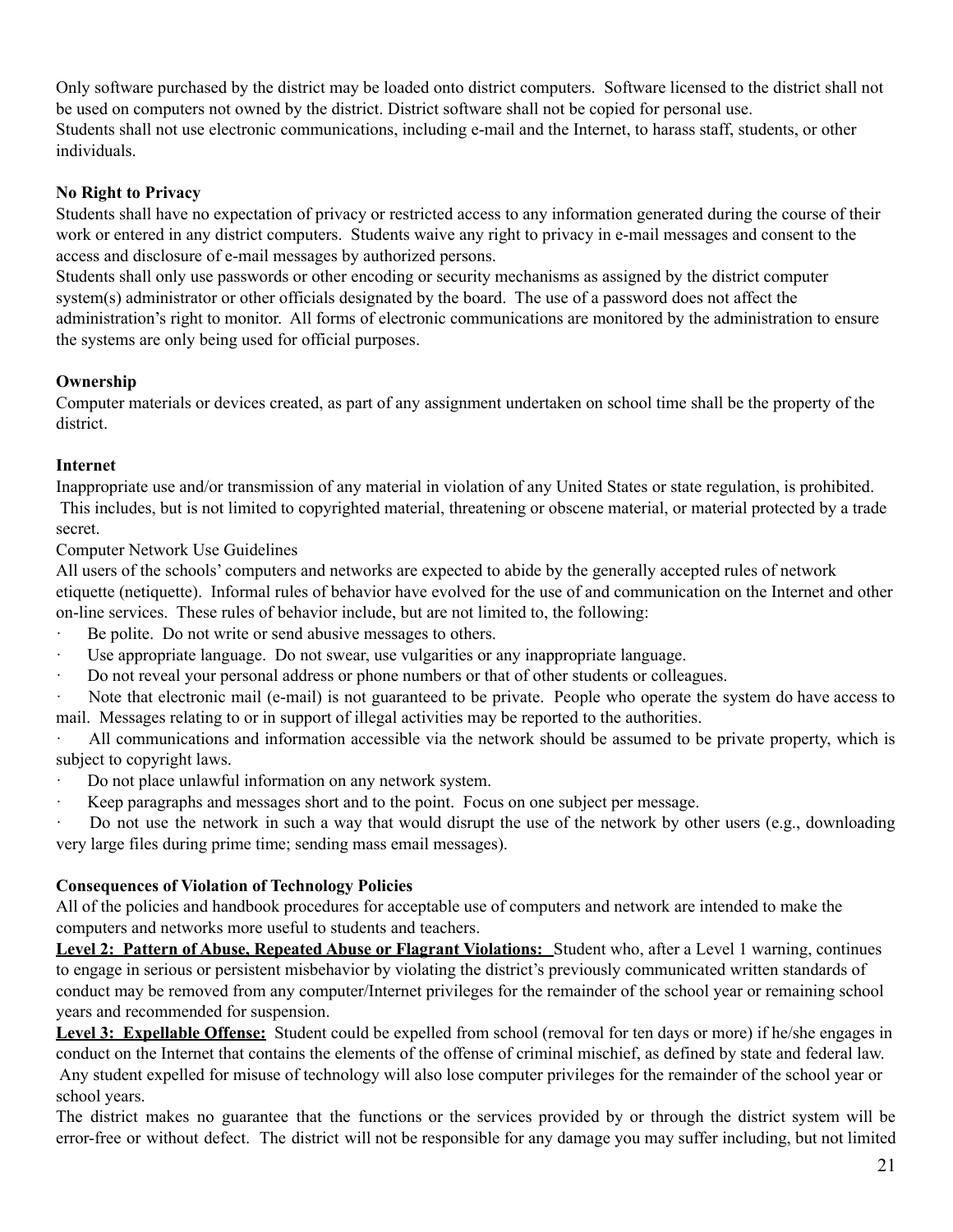Only software purchased by the district may be loaded onto district computers. Software licensed to the district shall not be used on computers not owned by the district. District software shall not be copied for personal use. Students shall not use electronic communications, including e-mail and the Internet, to harass staff, students, or other individuals.

## **No Right to Privacy**

Students shall have no expectation of privacy or restricted access to any information generated during the course of their work or entered in any district computers. Students waive any right to privacy in e-mail messages and consent to the access and disclosure of e-mail messages by authorized persons.

Students shall only use passwords or other encoding or security mechanisms as assigned by the district computer system(s) administrator or other officials designated by the board. The use of a password does not affect the administration's right to monitor. All forms of electronic communications are monitored by the administration to ensure the systems are only being used for official purposes.

## **Ownership**

Computer materials or devices created, as part of any assignment undertaken on school time shall be the property of the district.

#### **Internet**

Inappropriate use and/or transmission of any material in violation of any United States or state regulation, is prohibited. This includes, but is not limited to copyrighted material, threatening or obscene material, or material protected by a trade secret.

Computer Network Use Guidelines

All users of the schools' computers and networks are expected to abide by the generally accepted rules of network etiquette (netiquette). Informal rules of behavior have evolved for the use of and communication on the Internet and other on-line services. These rules of behavior include, but are not limited to, the following:

- Be polite. Do not write or send abusive messages to others.
- · Use appropriate language. Do not swear, use vulgarities or any inappropriate language.
- · Do not reveal your personal address or phone numbers or that of other students or colleagues.
- Note that electronic mail (e-mail) is not guaranteed to be private. People who operate the system do have access to mail. Messages relating to or in support of illegal activities may be reported to the authorities.

All communications and information accessible via the network should be assumed to be private property, which is subject to copyright laws.

- Do not place unlawful information on any network system.
- · Keep paragraphs and messages short and to the point. Focus on one subject per message.

Do not use the network in such a way that would disrupt the use of the network by other users (e.g., downloading very large files during prime time; sending mass email messages).

#### **Consequences of Violation of Technology Policies**

All of the policies and handbook procedures for acceptable use of computers and network are intended to make the computers and networks more useful to students and teachers.

**Level 2: Pattern of Abuse, Repeated Abuse or Flagrant Violations:** Student who, after a Level 1 warning, continues to engage in serious or persistent misbehavior by violating the district's previously communicated written standards of conduct may be removed from any computer/Internet privileges for the remainder of the school year or remaining school years and recommended for suspension.

**Level 3: Expellable Offense:** Student could be expelled from school (removal for ten days or more) if he/she engages in conduct on the Internet that contains the elements of the offense of criminal mischief, as defined by state and federal law. Any student expelled for misuse of technology will also lose computer privileges for the remainder of the school year or school years.

The district makes no guarantee that the functions or the services provided by or through the district system will be error-free or without defect. The district will not be responsible for any damage you may suffer including, but not limited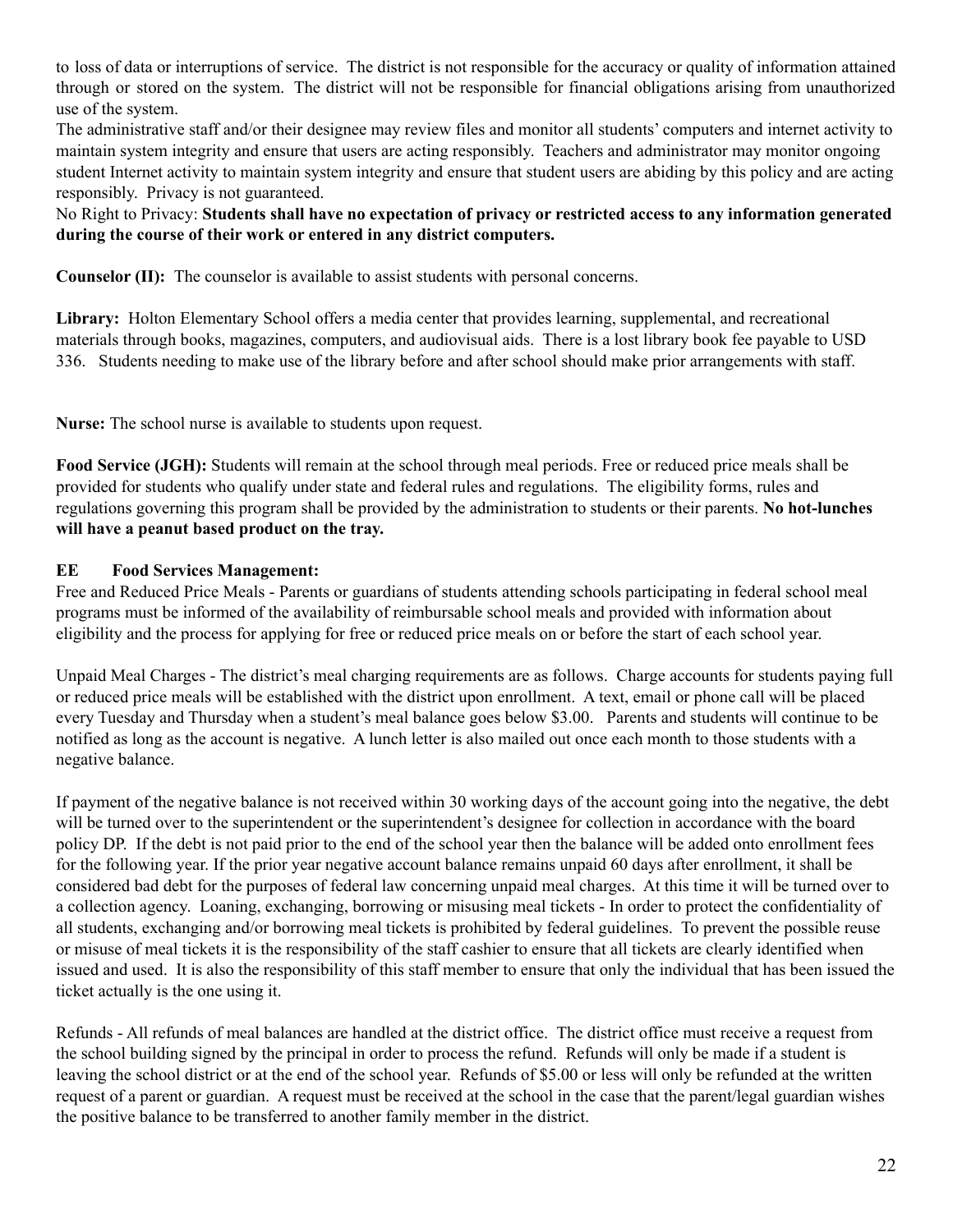to loss of data or interruptions of service. The district is not responsible for the accuracy or quality of information attained through or stored on the system. The district will not be responsible for financial obligations arising from unauthorized use of the system.

The administrative staff and/or their designee may review files and monitor all students' computers and internet activity to maintain system integrity and ensure that users are acting responsibly. Teachers and administrator may monitor ongoing student Internet activity to maintain system integrity and ensure that student users are abiding by this policy and are acting responsibly. Privacy is not guaranteed.

No Right to Privacy: **Students shall have no expectation of privacy or restricted access to any information generated during the course of their work or entered in any district computers.**

**Counselor (II):** The counselor is available to assist students with personal concerns.

**Library:** Holton Elementary School offers a media center that provides learning, supplemental, and recreational materials through books, magazines, computers, and audiovisual aids. There is a lost library book fee payable to USD 336. Students needing to make use of the library before and after school should make prior arrangements with staff.

**Nurse:** The school nurse is available to students upon request.

**Food Service (JGH):** Students will remain at the school through meal periods. Free or reduced price meals shall be provided for students who qualify under state and federal rules and regulations. The eligibility forms, rules and regulations governing this program shall be provided by the administration to students or their parents. **No hot-lunches will have a peanut based product on the tray.**

# **EE Food Services Management:**

Free and Reduced Price Meals - Parents or guardians of students attending schools participating in federal school meal programs must be informed of the availability of reimbursable school meals and provided with information about eligibility and the process for applying for free or reduced price meals on or before the start of each school year.

Unpaid Meal Charges - The district's meal charging requirements are as follows. Charge accounts for students paying full or reduced price meals will be established with the district upon enrollment. A text, email or phone call will be placed every Tuesday and Thursday when a student's meal balance goes below \$3.00. Parents and students will continue to be notified as long as the account is negative. A lunch letter is also mailed out once each month to those students with a negative balance.

If payment of the negative balance is not received within 30 working days of the account going into the negative, the debt will be turned over to the superintendent or the superintendent's designee for collection in accordance with the board policy DP. If the debt is not paid prior to the end of the school year then the balance will be added onto enrollment fees for the following year. If the prior year negative account balance remains unpaid 60 days after enrollment, it shall be considered bad debt for the purposes of federal law concerning unpaid meal charges. At this time it will be turned over to a collection agency. Loaning, exchanging, borrowing or misusing meal tickets - In order to protect the confidentiality of all students, exchanging and/or borrowing meal tickets is prohibited by federal guidelines. To prevent the possible reuse or misuse of meal tickets it is the responsibility of the staff cashier to ensure that all tickets are clearly identified when issued and used. It is also the responsibility of this staff member to ensure that only the individual that has been issued the ticket actually is the one using it.

Refunds - All refunds of meal balances are handled at the district office. The district office must receive a request from the school building signed by the principal in order to process the refund. Refunds will only be made if a student is leaving the school district or at the end of the school year. Refunds of \$5.00 or less will only be refunded at the written request of a parent or guardian. A request must be received at the school in the case that the parent/legal guardian wishes the positive balance to be transferred to another family member in the district.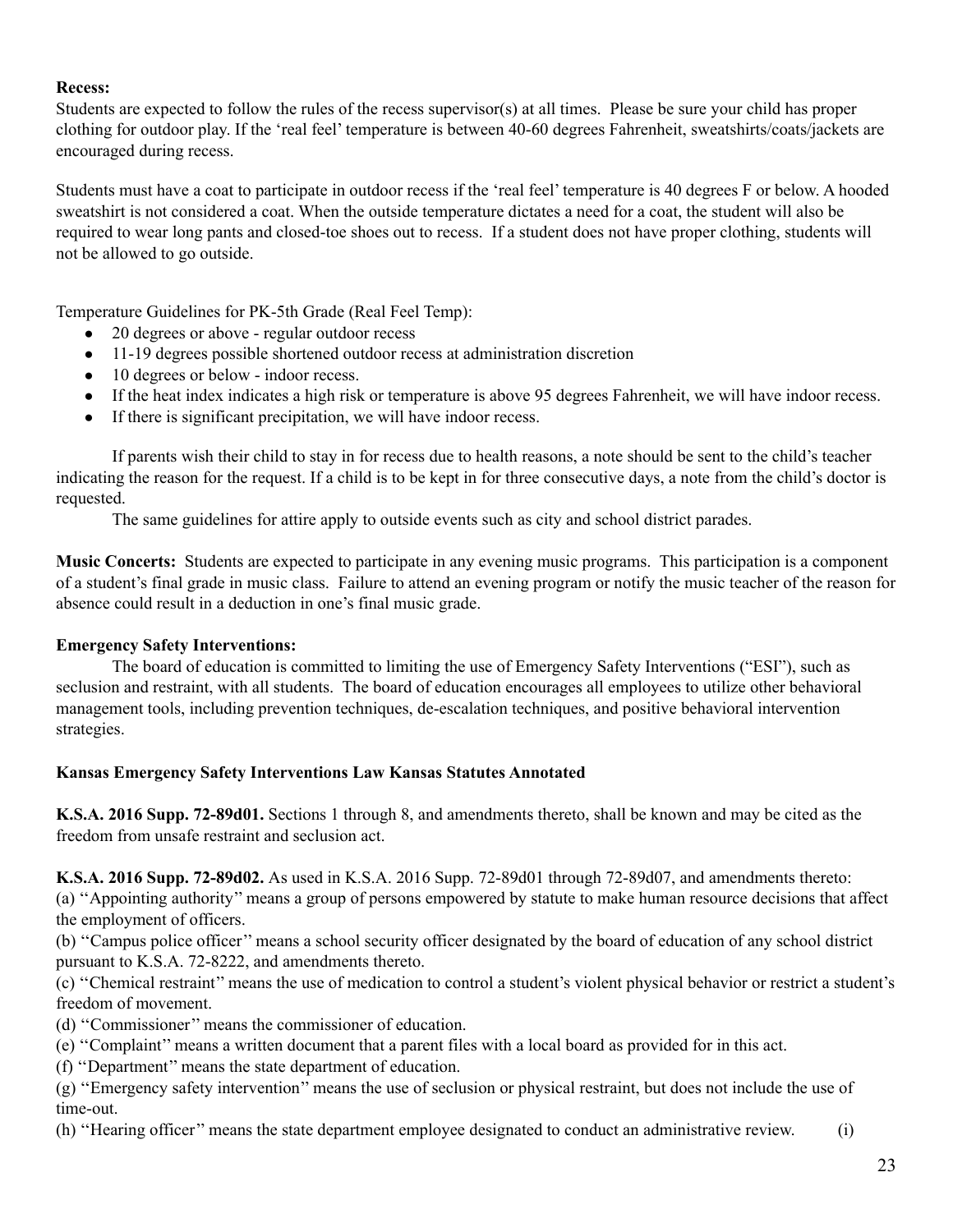#### **Recess:**

Students are expected to follow the rules of the recess supervisor(s) at all times. Please be sure your child has proper clothing for outdoor play. If the 'real feel' temperature is between 40-60 degrees Fahrenheit, sweatshirts/coats/jackets are encouraged during recess.

Students must have a coat to participate in outdoor recess if the 'real feel' temperature is 40 degrees F or below. A hooded sweatshirt is not considered a coat. When the outside temperature dictates a need for a coat, the student will also be required to wear long pants and closed-toe shoes out to recess. If a student does not have proper clothing, students will not be allowed to go outside.

Temperature Guidelines for PK-5th Grade (Real Feel Temp):

- 20 degrees or above regular outdoor recess
- 11-19 degrees possible shortened outdoor recess at administration discretion
- 10 degrees or below indoor recess.
- If the heat index indicates a high risk or temperature is above 95 degrees Fahrenheit, we will have indoor recess.
- If there is significant precipitation, we will have indoor recess.

If parents wish their child to stay in for recess due to health reasons, a note should be sent to the child's teacher indicating the reason for the request. If a child is to be kept in for three consecutive days, a note from the child's doctor is requested.

The same guidelines for attire apply to outside events such as city and school district parades.

**Music Concerts:** Students are expected to participate in any evening music programs. This participation is a component of a student's final grade in music class. Failure to attend an evening program or notify the music teacher of the reason for absence could result in a deduction in one's final music grade.

#### **Emergency Safety Interventions:**

The board of education is committed to limiting the use of Emergency Safety Interventions ("ESI"), such as seclusion and restraint, with all students. The board of education encourages all employees to utilize other behavioral management tools, including prevention techniques, de-escalation techniques, and positive behavioral intervention strategies.

#### **Kansas Emergency Safety Interventions Law Kansas Statutes Annotated**

**K.S.A. 2016 Supp. 72-89d01.** Sections 1 through 8, and amendments thereto, shall be known and may be cited as the freedom from unsafe restraint and seclusion act.

**K.S.A. 2016 Supp. 72-89d02.** As used in K.S.A. 2016 Supp. 72-89d01 through 72-89d07, and amendments thereto: (a) ''Appointing authority'' means a group of persons empowered by statute to make human resource decisions that affect

the employment of officers.

(b) ''Campus police officer'' means a school security officer designated by the board of education of any school district pursuant to K.S.A. 72-8222, and amendments thereto.

(c) ''Chemical restraint'' means the use of medication to control a student's violent physical behavior or restrict a student's freedom of movement.

- (d) ''Commissioner'' means the commissioner of education.
- (e) ''Complaint'' means a written document that a parent files with a local board as provided for in this act.

(f) ''Department'' means the state department of education.

(g) ''Emergency safety intervention'' means the use of seclusion or physical restraint, but does not include the use of time-out.

(h) ''Hearing officer'' means the state department employee designated to conduct an administrative review. (i)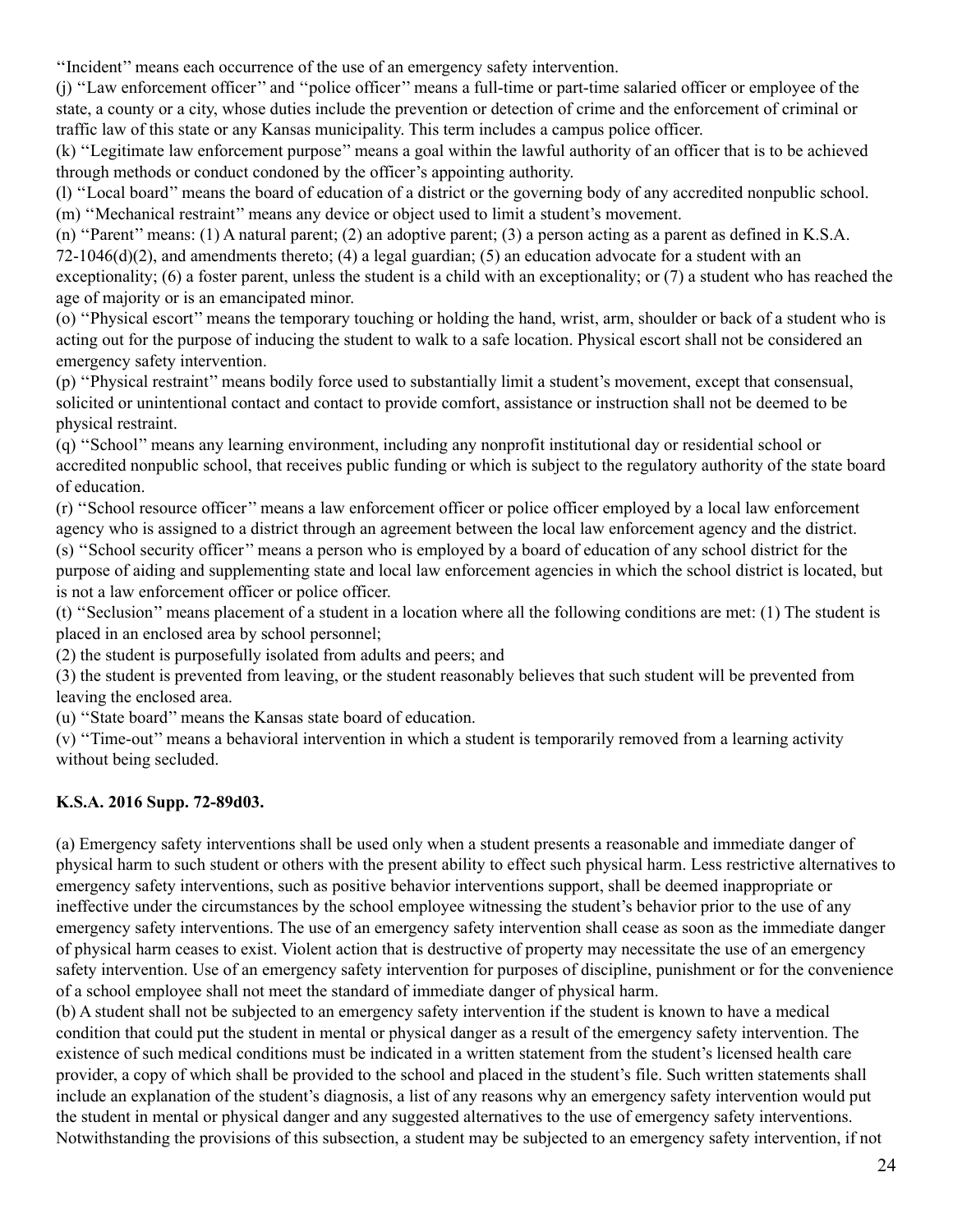''Incident'' means each occurrence of the use of an emergency safety intervention.

(j) ''Law enforcement officer'' and ''police officer'' means a full-time or part-time salaried officer or employee of the state, a county or a city, whose duties include the prevention or detection of crime and the enforcement of criminal or traffic law of this state or any Kansas municipality. This term includes a campus police officer.

(k) ''Legitimate law enforcement purpose'' means a goal within the lawful authority of an officer that is to be achieved through methods or conduct condoned by the officer's appointing authority.

(l) ''Local board'' means the board of education of a district or the governing body of any accredited nonpublic school. (m) ''Mechanical restraint'' means any device or object used to limit a student's movement.

(n) ''Parent'' means: (1) A natural parent; (2) an adoptive parent; (3) a person acting as a parent as defined in K.S.A. 72-1046(d)(2), and amendments thereto; (4) a legal guardian; (5) an education advocate for a student with an exceptionality; (6) a foster parent, unless the student is a child with an exceptionality; or (7) a student who has reached the age of majority or is an emancipated minor.

(o) ''Physical escort'' means the temporary touching or holding the hand, wrist, arm, shoulder or back of a student who is acting out for the purpose of inducing the student to walk to a safe location. Physical escort shall not be considered an emergency safety intervention.

(p) ''Physical restraint'' means bodily force used to substantially limit a student's movement, except that consensual, solicited or unintentional contact and contact to provide comfort, assistance or instruction shall not be deemed to be physical restraint.

(q) ''School'' means any learning environment, including any nonprofit institutional day or residential school or accredited nonpublic school, that receives public funding or which is subject to the regulatory authority of the state board of education.

(r) ''School resource officer'' means a law enforcement officer or police officer employed by a local law enforcement agency who is assigned to a district through an agreement between the local law enforcement agency and the district.

(s) ''School security officer'' means a person who is employed by a board of education of any school district for the purpose of aiding and supplementing state and local law enforcement agencies in which the school district is located, but is not a law enforcement officer or police officer.

(t) ''Seclusion'' means placement of a student in a location where all the following conditions are met: (1) The student is placed in an enclosed area by school personnel;

(2) the student is purposefully isolated from adults and peers; and

(3) the student is prevented from leaving, or the student reasonably believes that such student will be prevented from leaving the enclosed area.

(u) ''State board'' means the Kansas state board of education.

(v) ''Time-out'' means a behavioral intervention in which a student is temporarily removed from a learning activity without being secluded.

# **K.S.A. 2016 Supp. 72-89d03.**

(a) Emergency safety interventions shall be used only when a student presents a reasonable and immediate danger of physical harm to such student or others with the present ability to effect such physical harm. Less restrictive alternatives to emergency safety interventions, such as positive behavior interventions support, shall be deemed inappropriate or ineffective under the circumstances by the school employee witnessing the student's behavior prior to the use of any emergency safety interventions. The use of an emergency safety intervention shall cease as soon as the immediate danger of physical harm ceases to exist. Violent action that is destructive of property may necessitate the use of an emergency safety intervention. Use of an emergency safety intervention for purposes of discipline, punishment or for the convenience of a school employee shall not meet the standard of immediate danger of physical harm.

(b) A student shall not be subjected to an emergency safety intervention if the student is known to have a medical condition that could put the student in mental or physical danger as a result of the emergency safety intervention. The existence of such medical conditions must be indicated in a written statement from the student's licensed health care provider, a copy of which shall be provided to the school and placed in the student's file. Such written statements shall include an explanation of the student's diagnosis, a list of any reasons why an emergency safety intervention would put the student in mental or physical danger and any suggested alternatives to the use of emergency safety interventions. Notwithstanding the provisions of this subsection, a student may be subjected to an emergency safety intervention, if not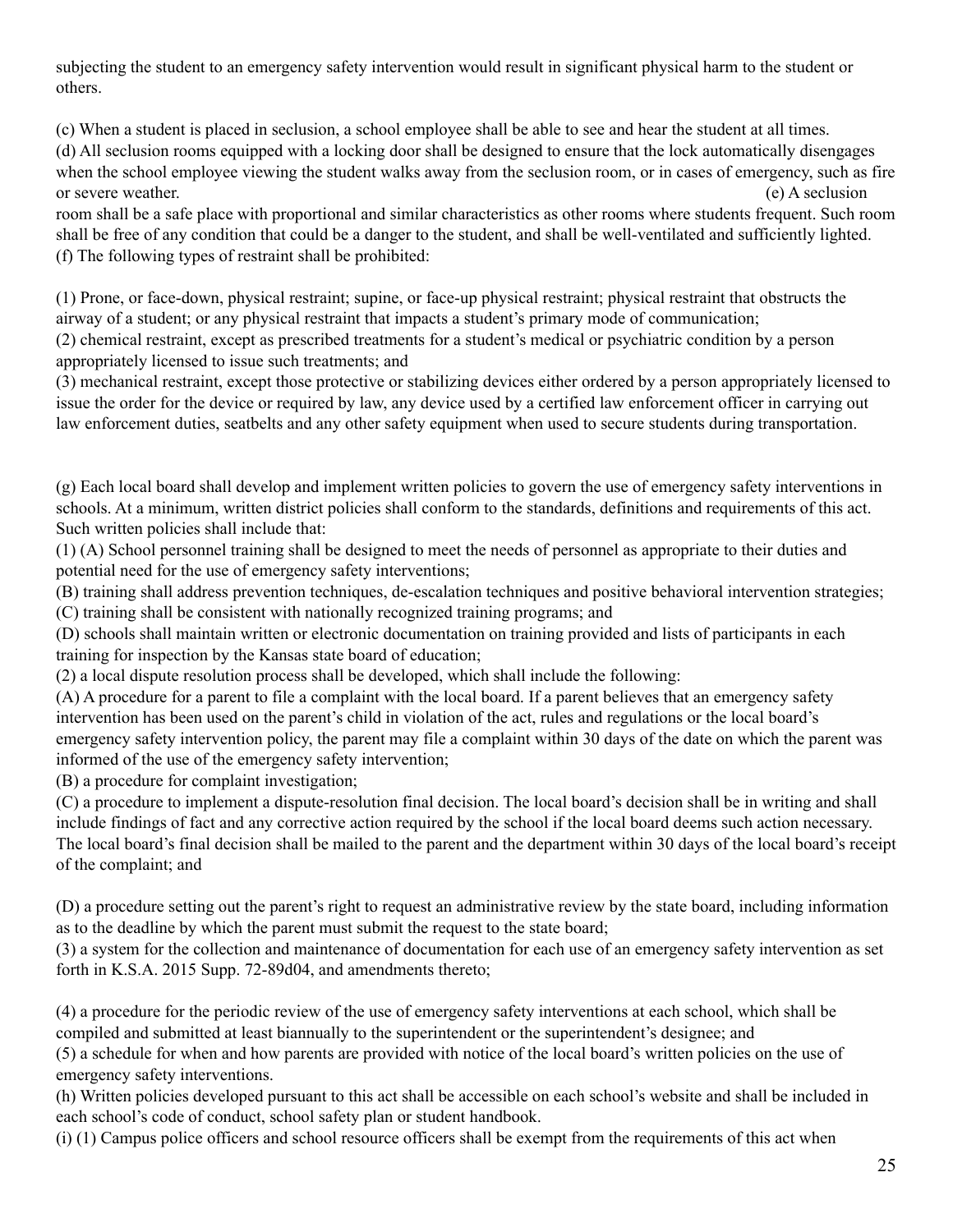subjecting the student to an emergency safety intervention would result in significant physical harm to the student or others.

(c) When a student is placed in seclusion, a school employee shall be able to see and hear the student at all times.

(d) All seclusion rooms equipped with a locking door shall be designed to ensure that the lock automatically disengages when the school employee viewing the student walks away from the seclusion room, or in cases of emergency, such as fire or severe weather. (e) A seclusion

room shall be a safe place with proportional and similar characteristics as other rooms where students frequent. Such room shall be free of any condition that could be a danger to the student, and shall be well-ventilated and sufficiently lighted. (f) The following types of restraint shall be prohibited:

(1) Prone, or face-down, physical restraint; supine, or face-up physical restraint; physical restraint that obstructs the airway of a student; or any physical restraint that impacts a student's primary mode of communication; (2) chemical restraint, except as prescribed treatments for a student's medical or psychiatric condition by a person

appropriately licensed to issue such treatments; and

(3) mechanical restraint, except those protective or stabilizing devices either ordered by a person appropriately licensed to issue the order for the device or required by law, any device used by a certified law enforcement officer in carrying out law enforcement duties, seatbelts and any other safety equipment when used to secure students during transportation.

(g) Each local board shall develop and implement written policies to govern the use of emergency safety interventions in schools. At a minimum, written district policies shall conform to the standards, definitions and requirements of this act. Such written policies shall include that:

(1) (A) School personnel training shall be designed to meet the needs of personnel as appropriate to their duties and potential need for the use of emergency safety interventions;

(B) training shall address prevention techniques, de-escalation techniques and positive behavioral intervention strategies; (C) training shall be consistent with nationally recognized training programs; and

(D) schools shall maintain written or electronic documentation on training provided and lists of participants in each training for inspection by the Kansas state board of education;

(2) a local dispute resolution process shall be developed, which shall include the following:

(A) A procedure for a parent to file a complaint with the local board. If a parent believes that an emergency safety intervention has been used on the parent's child in violation of the act, rules and regulations or the local board's emergency safety intervention policy, the parent may file a complaint within 30 days of the date on which the parent was informed of the use of the emergency safety intervention;

(B) a procedure for complaint investigation;

(C) a procedure to implement a dispute-resolution final decision. The local board's decision shall be in writing and shall include findings of fact and any corrective action required by the school if the local board deems such action necessary. The local board's final decision shall be mailed to the parent and the department within 30 days of the local board's receipt of the complaint; and

(D) a procedure setting out the parent's right to request an administrative review by the state board, including information as to the deadline by which the parent must submit the request to the state board;

(3) a system for the collection and maintenance of documentation for each use of an emergency safety intervention as set forth in K.S.A. 2015 Supp. 72-89d04, and amendments thereto;

(4) a procedure for the periodic review of the use of emergency safety interventions at each school, which shall be compiled and submitted at least biannually to the superintendent or the superintendent's designee; and

(5) a schedule for when and how parents are provided with notice of the local board's written policies on the use of emergency safety interventions.

(h) Written policies developed pursuant to this act shall be accessible on each school's website and shall be included in each school's code of conduct, school safety plan or student handbook.

(i) (1) Campus police officers and school resource officers shall be exempt from the requirements of this act when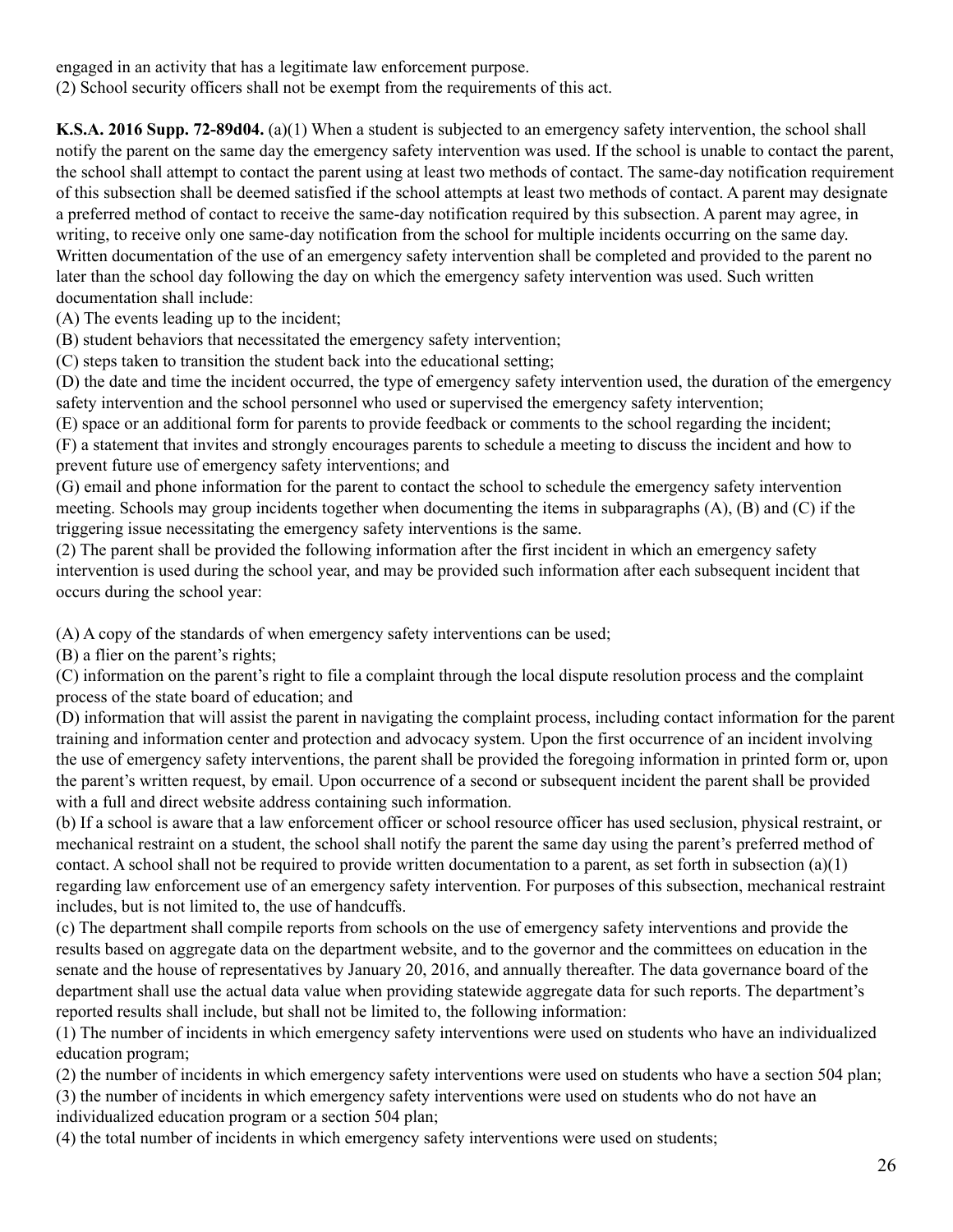engaged in an activity that has a legitimate law enforcement purpose.

(2) School security officers shall not be exempt from the requirements of this act.

**K.S.A. 2016 Supp. 72-89d04.** (a)(1) When a student is subjected to an emergency safety intervention, the school shall notify the parent on the same day the emergency safety intervention was used. If the school is unable to contact the parent, the school shall attempt to contact the parent using at least two methods of contact. The same-day notification requirement of this subsection shall be deemed satisfied if the school attempts at least two methods of contact. A parent may designate a preferred method of contact to receive the same-day notification required by this subsection. A parent may agree, in writing, to receive only one same-day notification from the school for multiple incidents occurring on the same day. Written documentation of the use of an emergency safety intervention shall be completed and provided to the parent no later than the school day following the day on which the emergency safety intervention was used. Such written documentation shall include:

(A) The events leading up to the incident;

(B) student behaviors that necessitated the emergency safety intervention;

(C) steps taken to transition the student back into the educational setting;

(D) the date and time the incident occurred, the type of emergency safety intervention used, the duration of the emergency safety intervention and the school personnel who used or supervised the emergency safety intervention;

(E) space or an additional form for parents to provide feedback or comments to the school regarding the incident; (F) a statement that invites and strongly encourages parents to schedule a meeting to discuss the incident and how to prevent future use of emergency safety interventions; and

(G) email and phone information for the parent to contact the school to schedule the emergency safety intervention meeting. Schools may group incidents together when documenting the items in subparagraphs (A), (B) and (C) if the triggering issue necessitating the emergency safety interventions is the same.

(2) The parent shall be provided the following information after the first incident in which an emergency safety intervention is used during the school year, and may be provided such information after each subsequent incident that occurs during the school year:

(A) A copy of the standards of when emergency safety interventions can be used;

(B) a flier on the parent's rights;

(C) information on the parent's right to file a complaint through the local dispute resolution process and the complaint process of the state board of education; and

(D) information that will assist the parent in navigating the complaint process, including contact information for the parent training and information center and protection and advocacy system. Upon the first occurrence of an incident involving the use of emergency safety interventions, the parent shall be provided the foregoing information in printed form or, upon the parent's written request, by email. Upon occurrence of a second or subsequent incident the parent shall be provided with a full and direct website address containing such information.

(b) If a school is aware that a law enforcement officer or school resource officer has used seclusion, physical restraint, or mechanical restraint on a student, the school shall notify the parent the same day using the parent's preferred method of contact. A school shall not be required to provide written documentation to a parent, as set forth in subsection (a)(1) regarding law enforcement use of an emergency safety intervention. For purposes of this subsection, mechanical restraint includes, but is not limited to, the use of handcuffs.

(c) The department shall compile reports from schools on the use of emergency safety interventions and provide the results based on aggregate data on the department website, and to the governor and the committees on education in the senate and the house of representatives by January 20, 2016, and annually thereafter. The data governance board of the department shall use the actual data value when providing statewide aggregate data for such reports. The department's reported results shall include, but shall not be limited to, the following information:

(1) The number of incidents in which emergency safety interventions were used on students who have an individualized education program;

(2) the number of incidents in which emergency safety interventions were used on students who have a section 504 plan; (3) the number of incidents in which emergency safety interventions were used on students who do not have an

individualized education program or a section 504 plan;

(4) the total number of incidents in which emergency safety interventions were used on students;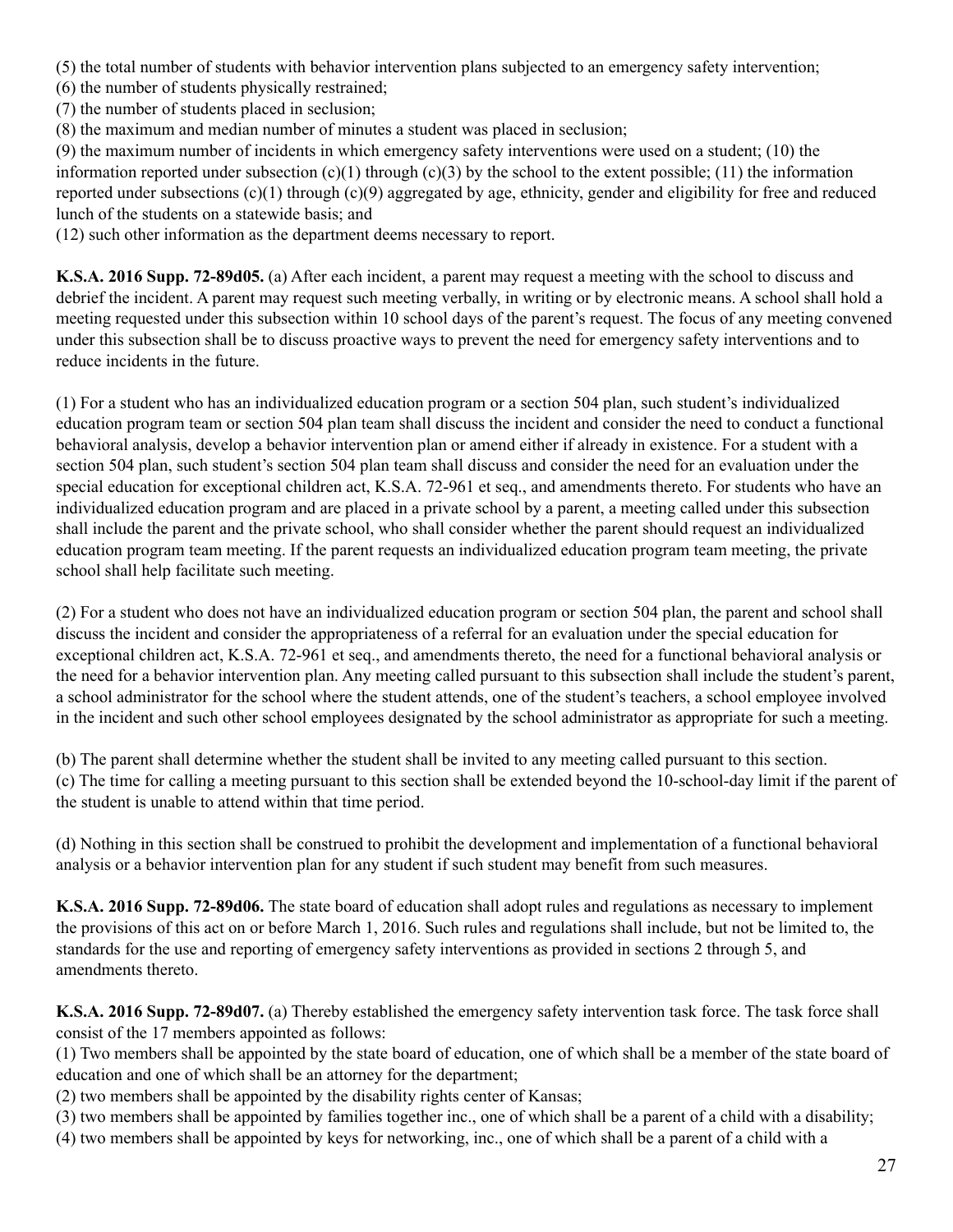(5) the total number of students with behavior intervention plans subjected to an emergency safety intervention;

(6) the number of students physically restrained;

(7) the number of students placed in seclusion;

(8) the maximum and median number of minutes a student was placed in seclusion;

(9) the maximum number of incidents in which emergency safety interventions were used on a student; (10) the information reported under subsection  $(c)(1)$  through  $(c)(3)$  by the school to the extent possible; (11) the information reported under subsections (c)(1) through (c)(9) aggregated by age, ethnicity, gender and eligibility for free and reduced lunch of the students on a statewide basis; and

(12) such other information as the department deems necessary to report.

**K.S.A. 2016 Supp. 72-89d05.** (a) After each incident, a parent may request a meeting with the school to discuss and debrief the incident. A parent may request such meeting verbally, in writing or by electronic means. A school shall hold a meeting requested under this subsection within 10 school days of the parent's request. The focus of any meeting convened under this subsection shall be to discuss proactive ways to prevent the need for emergency safety interventions and to reduce incidents in the future.

(1) For a student who has an individualized education program or a section 504 plan, such student's individualized education program team or section 504 plan team shall discuss the incident and consider the need to conduct a functional behavioral analysis, develop a behavior intervention plan or amend either if already in existence. For a student with a section 504 plan, such student's section 504 plan team shall discuss and consider the need for an evaluation under the special education for exceptional children act, K.S.A. 72-961 et seq., and amendments thereto. For students who have an individualized education program and are placed in a private school by a parent, a meeting called under this subsection shall include the parent and the private school, who shall consider whether the parent should request an individualized education program team meeting. If the parent requests an individualized education program team meeting, the private school shall help facilitate such meeting.

(2) For a student who does not have an individualized education program or section 504 plan, the parent and school shall discuss the incident and consider the appropriateness of a referral for an evaluation under the special education for exceptional children act, K.S.A. 72-961 et seq., and amendments thereto, the need for a functional behavioral analysis or the need for a behavior intervention plan. Any meeting called pursuant to this subsection shall include the student's parent, a school administrator for the school where the student attends, one of the student's teachers, a school employee involved in the incident and such other school employees designated by the school administrator as appropriate for such a meeting.

(b) The parent shall determine whether the student shall be invited to any meeting called pursuant to this section. (c) The time for calling a meeting pursuant to this section shall be extended beyond the 10-school-day limit if the parent of the student is unable to attend within that time period.

(d) Nothing in this section shall be construed to prohibit the development and implementation of a functional behavioral analysis or a behavior intervention plan for any student if such student may benefit from such measures.

**K.S.A. 2016 Supp. 72-89d06.** The state board of education shall adopt rules and regulations as necessary to implement the provisions of this act on or before March 1, 2016. Such rules and regulations shall include, but not be limited to, the standards for the use and reporting of emergency safety interventions as provided in sections 2 through 5, and amendments thereto.

**K.S.A. 2016 Supp. 72-89d07.** (a) Thereby established the emergency safety intervention task force. The task force shall consist of the 17 members appointed as follows:

(1) Two members shall be appointed by the state board of education, one of which shall be a member of the state board of education and one of which shall be an attorney for the department;

(2) two members shall be appointed by the disability rights center of Kansas;

(3) two members shall be appointed by families together inc., one of which shall be a parent of a child with a disability;

(4) two members shall be appointed by keys for networking, inc., one of which shall be a parent of a child with a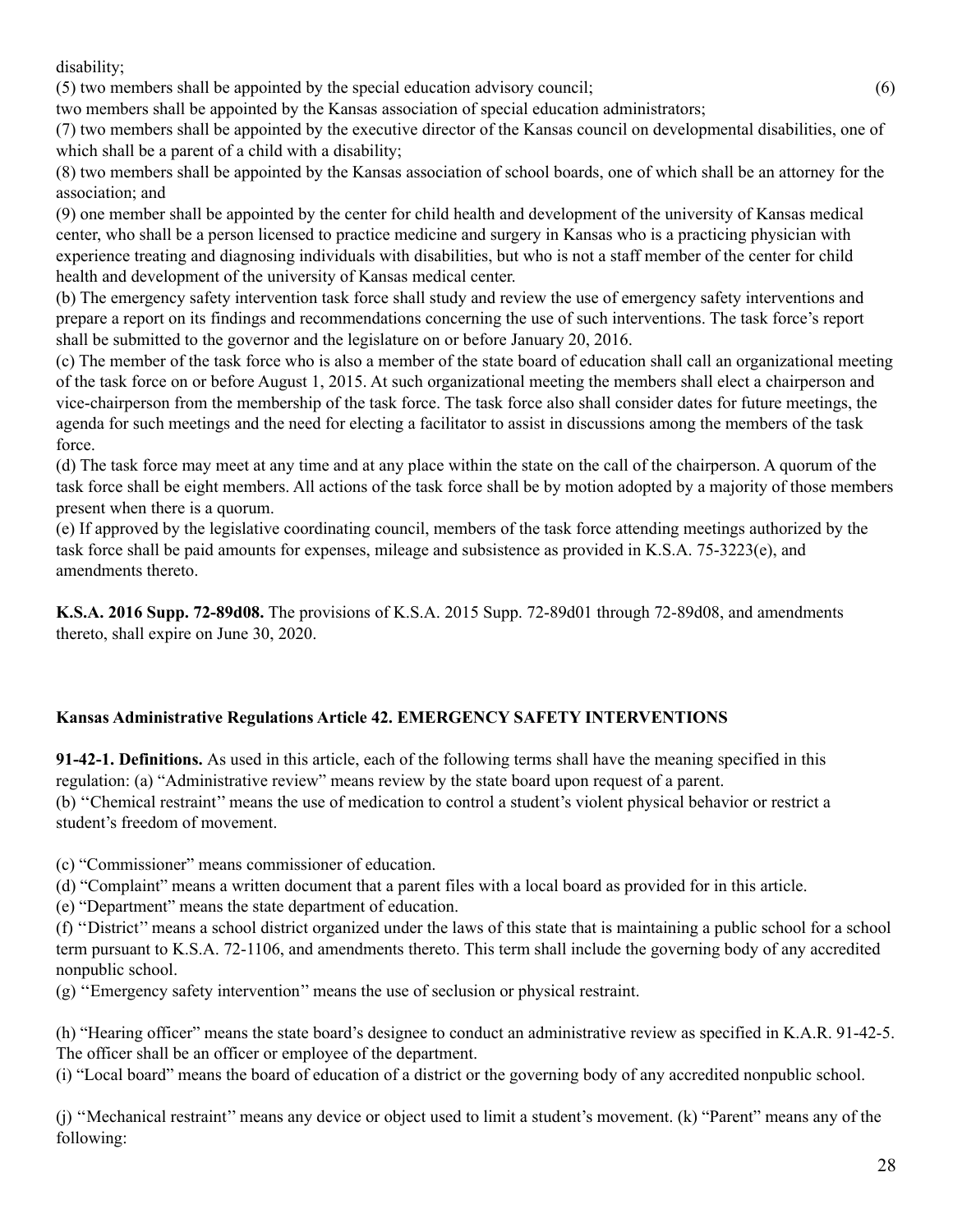disability;

(5) two members shall be appointed by the special education advisory council; (6)

two members shall be appointed by the Kansas association of special education administrators;

(7) two members shall be appointed by the executive director of the Kansas council on developmental disabilities, one of which shall be a parent of a child with a disability;

(8) two members shall be appointed by the Kansas association of school boards, one of which shall be an attorney for the association; and

(9) one member shall be appointed by the center for child health and development of the university of Kansas medical center, who shall be a person licensed to practice medicine and surgery in Kansas who is a practicing physician with experience treating and diagnosing individuals with disabilities, but who is not a staff member of the center for child health and development of the university of Kansas medical center.

(b) The emergency safety intervention task force shall study and review the use of emergency safety interventions and prepare a report on its findings and recommendations concerning the use of such interventions. The task force's report shall be submitted to the governor and the legislature on or before January 20, 2016.

(c) The member of the task force who is also a member of the state board of education shall call an organizational meeting of the task force on or before August 1, 2015. At such organizational meeting the members shall elect a chairperson and vice-chairperson from the membership of the task force. The task force also shall consider dates for future meetings, the agenda for such meetings and the need for electing a facilitator to assist in discussions among the members of the task force.

(d) The task force may meet at any time and at any place within the state on the call of the chairperson. A quorum of the task force shall be eight members. All actions of the task force shall be by motion adopted by a majority of those members present when there is a quorum.

(e) If approved by the legislative coordinating council, members of the task force attending meetings authorized by the task force shall be paid amounts for expenses, mileage and subsistence as provided in K.S.A. 75-3223(e), and amendments thereto.

**K.S.A. 2016 Supp. 72-89d08.** The provisions of K.S.A. 2015 Supp. 72-89d01 through 72-89d08, and amendments thereto, shall expire on June 30, 2020.

# **Kansas Administrative Regulations Article 42. EMERGENCY SAFETY INTERVENTIONS**

**91-42-1. Definitions.** As used in this article, each of the following terms shall have the meaning specified in this regulation: (a) "Administrative review" means review by the state board upon request of a parent. (b) ''Chemical restraint'' means the use of medication to control a student's violent physical behavior or restrict a student's freedom of movement.

(c) "Commissioner" means commissioner of education.

(d) "Complaint" means a written document that a parent files with a local board as provided for in this article.

(e) "Department" means the state department of education.

(f) ''District'' means a school district organized under the laws of this state that is maintaining a public school for a school term pursuant to K.S.A. 72-1106, and amendments thereto. This term shall include the governing body of any accredited nonpublic school.

(g) ''Emergency safety intervention'' means the use of seclusion or physical restraint.

(h) "Hearing officer" means the state board's designee to conduct an administrative review as specified in K.A.R. 91-42-5. The officer shall be an officer or employee of the department.

(i) "Local board" means the board of education of a district or the governing body of any accredited nonpublic school.

(j) ''Mechanical restraint'' means any device or object used to limit a student's movement. (k) "Parent" means any of the following: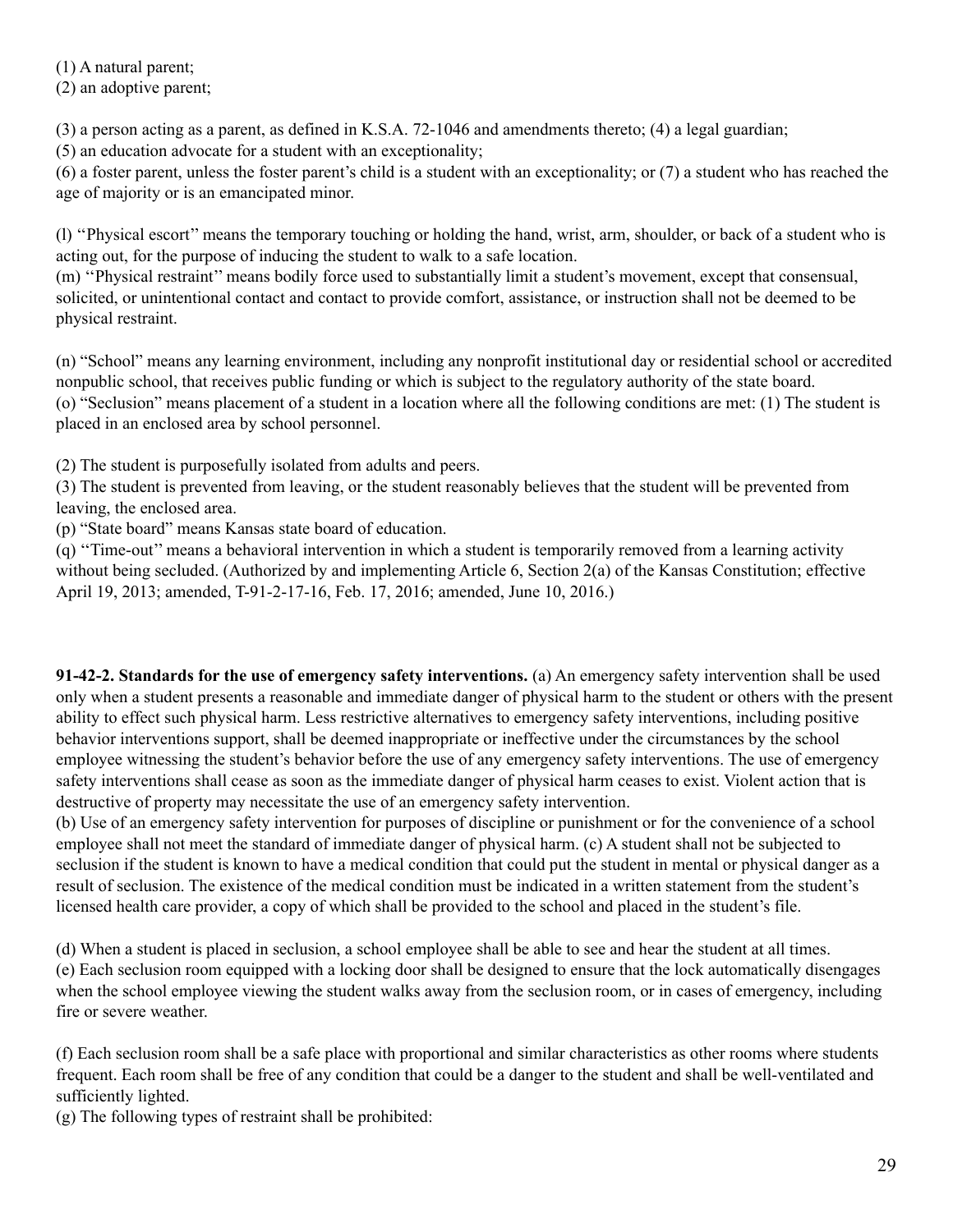(1) A natural parent;

(2) an adoptive parent;

(3) a person acting as a parent, as defined in K.S.A. 72-1046 and amendments thereto; (4) a legal guardian;

(5) an education advocate for a student with an exceptionality;

(6) a foster parent, unless the foster parent's child is a student with an exceptionality; or (7) a student who has reached the age of majority or is an emancipated minor.

(l) ''Physical escort'' means the temporary touching or holding the hand, wrist, arm, shoulder, or back of a student who is acting out, for the purpose of inducing the student to walk to a safe location.

(m) ''Physical restraint'' means bodily force used to substantially limit a student's movement, except that consensual, solicited, or unintentional contact and contact to provide comfort, assistance, or instruction shall not be deemed to be physical restraint.

(n) "School" means any learning environment, including any nonprofit institutional day or residential school or accredited nonpublic school, that receives public funding or which is subject to the regulatory authority of the state board. (o) "Seclusion" means placement of a student in a location where all the following conditions are met: (1) The student is placed in an enclosed area by school personnel.

(2) The student is purposefully isolated from adults and peers.

(3) The student is prevented from leaving, or the student reasonably believes that the student will be prevented from leaving, the enclosed area.

(p) "State board" means Kansas state board of education.

(q) ''Time-out'' means a behavioral intervention in which a student is temporarily removed from a learning activity without being secluded. (Authorized by and implementing Article 6, Section 2(a) of the Kansas Constitution; effective April 19, 2013; amended, T-91-2-17-16, Feb. 17, 2016; amended, June 10, 2016.)

**91-42-2. Standards for the use of emergency safety interventions.** (a) An emergency safety intervention shall be used only when a student presents a reasonable and immediate danger of physical harm to the student or others with the present ability to effect such physical harm. Less restrictive alternatives to emergency safety interventions, including positive behavior interventions support, shall be deemed inappropriate or ineffective under the circumstances by the school employee witnessing the student's behavior before the use of any emergency safety interventions. The use of emergency safety interventions shall cease as soon as the immediate danger of physical harm ceases to exist. Violent action that is destructive of property may necessitate the use of an emergency safety intervention.

(b) Use of an emergency safety intervention for purposes of discipline or punishment or for the convenience of a school employee shall not meet the standard of immediate danger of physical harm. (c) A student shall not be subjected to seclusion if the student is known to have a medical condition that could put the student in mental or physical danger as a result of seclusion. The existence of the medical condition must be indicated in a written statement from the student's licensed health care provider, a copy of which shall be provided to the school and placed in the student's file.

(d) When a student is placed in seclusion, a school employee shall be able to see and hear the student at all times. (e) Each seclusion room equipped with a locking door shall be designed to ensure that the lock automatically disengages when the school employee viewing the student walks away from the seclusion room, or in cases of emergency, including fire or severe weather.

(f) Each seclusion room shall be a safe place with proportional and similar characteristics as other rooms where students frequent. Each room shall be free of any condition that could be a danger to the student and shall be well-ventilated and sufficiently lighted.

(g) The following types of restraint shall be prohibited: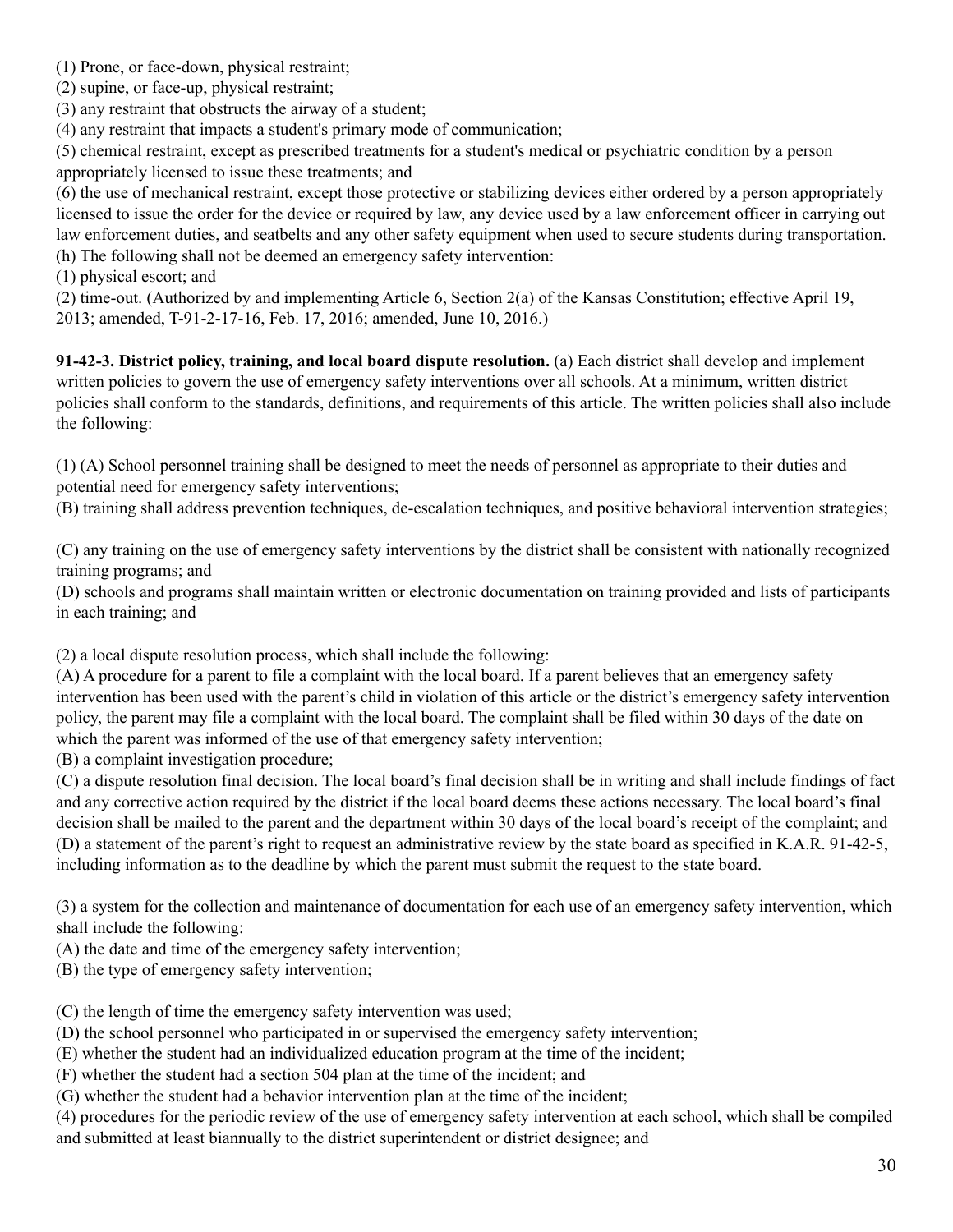(1) Prone, or face-down, physical restraint;

(2) supine, or face-up, physical restraint;

(3) any restraint that obstructs the airway of a student;

(4) any restraint that impacts a student's primary mode of communication;

(5) chemical restraint, except as prescribed treatments for a student's medical or psychiatric condition by a person appropriately licensed to issue these treatments; and

(6) the use of mechanical restraint, except those protective or stabilizing devices either ordered by a person appropriately licensed to issue the order for the device or required by law, any device used by a law enforcement officer in carrying out law enforcement duties, and seatbelts and any other safety equipment when used to secure students during transportation. (h) The following shall not be deemed an emergency safety intervention:

(1) physical escort; and

(2) time-out. (Authorized by and implementing Article 6, Section 2(a) of the Kansas Constitution; effective April 19, 2013; amended, T-91-2-17-16, Feb. 17, 2016; amended, June 10, 2016.)

**91-42-3. District policy, training, and local board dispute resolution.** (a) Each district shall develop and implement written policies to govern the use of emergency safety interventions over all schools. At a minimum, written district policies shall conform to the standards, definitions, and requirements of this article. The written policies shall also include the following:

(1) (A) School personnel training shall be designed to meet the needs of personnel as appropriate to their duties and potential need for emergency safety interventions;

(B) training shall address prevention techniques, de-escalation techniques, and positive behavioral intervention strategies;

(C) any training on the use of emergency safety interventions by the district shall be consistent with nationally recognized training programs; and

(D) schools and programs shall maintain written or electronic documentation on training provided and lists of participants in each training; and

(2) a local dispute resolution process, which shall include the following:

(A) A procedure for a parent to file a complaint with the local board. If a parent believes that an emergency safety intervention has been used with the parent's child in violation of this article or the district's emergency safety intervention policy, the parent may file a complaint with the local board. The complaint shall be filed within 30 days of the date on which the parent was informed of the use of that emergency safety intervention;

(B) a complaint investigation procedure;

(C) a dispute resolution final decision. The local board's final decision shall be in writing and shall include findings of fact and any corrective action required by the district if the local board deems these actions necessary. The local board's final decision shall be mailed to the parent and the department within 30 days of the local board's receipt of the complaint; and (D) a statement of the parent's right to request an administrative review by the state board as specified in K.A.R. 91-42-5, including information as to the deadline by which the parent must submit the request to the state board.

(3) a system for the collection and maintenance of documentation for each use of an emergency safety intervention, which shall include the following:

(A) the date and time of the emergency safety intervention;

(B) the type of emergency safety intervention;

(C) the length of time the emergency safety intervention was used;

(D) the school personnel who participated in or supervised the emergency safety intervention;

(E) whether the student had an individualized education program at the time of the incident;

(F) whether the student had a section 504 plan at the time of the incident; and

(G) whether the student had a behavior intervention plan at the time of the incident;

(4) procedures for the periodic review of the use of emergency safety intervention at each school, which shall be compiled and submitted at least biannually to the district superintendent or district designee; and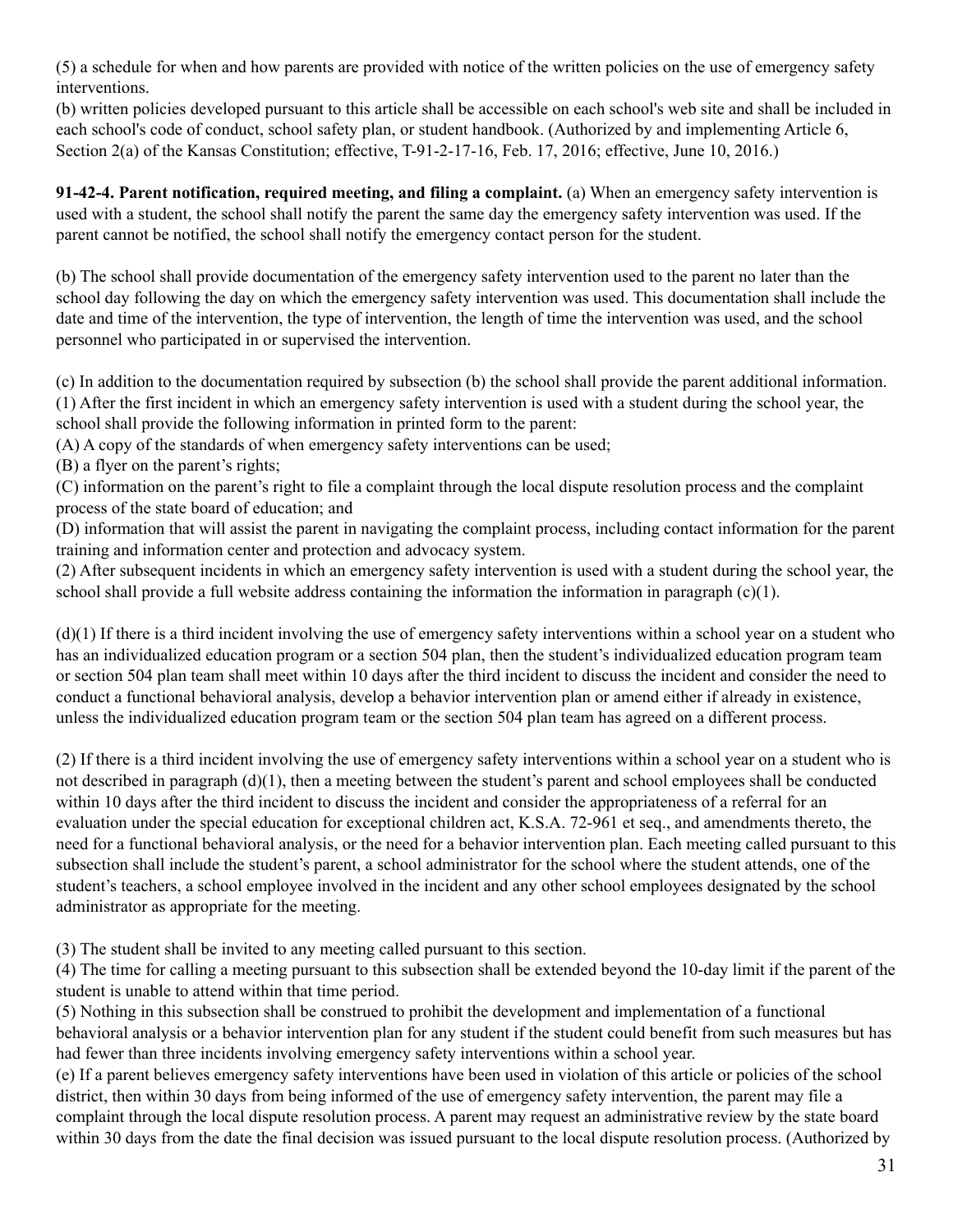(5) a schedule for when and how parents are provided with notice of the written policies on the use of emergency safety interventions.

(b) written policies developed pursuant to this article shall be accessible on each school's web site and shall be included in each school's code of conduct, school safety plan, or student handbook. (Authorized by and implementing Article 6, Section 2(a) of the Kansas Constitution; effective, T-91-2-17-16, Feb. 17, 2016; effective, June 10, 2016.)

**91-42-4. Parent notification, required meeting, and filing a complaint.** (a) When an emergency safety intervention is used with a student, the school shall notify the parent the same day the emergency safety intervention was used. If the parent cannot be notified, the school shall notify the emergency contact person for the student.

(b) The school shall provide documentation of the emergency safety intervention used to the parent no later than the school day following the day on which the emergency safety intervention was used. This documentation shall include the date and time of the intervention, the type of intervention, the length of time the intervention was used, and the school personnel who participated in or supervised the intervention.

(c) In addition to the documentation required by subsection (b) the school shall provide the parent additional information. (1) After the first incident in which an emergency safety intervention is used with a student during the school year, the school shall provide the following information in printed form to the parent:

(A) A copy of the standards of when emergency safety interventions can be used;

(B) a flyer on the parent's rights;

(C) information on the parent's right to file a complaint through the local dispute resolution process and the complaint process of the state board of education; and

(D) information that will assist the parent in navigating the complaint process, including contact information for the parent training and information center and protection and advocacy system.

(2) After subsequent incidents in which an emergency safety intervention is used with a student during the school year, the school shall provide a full website address containing the information the information in paragraph (c)(1).

(d)(1) If there is a third incident involving the use of emergency safety interventions within a school year on a student who has an individualized education program or a section 504 plan, then the student's individualized education program team or section 504 plan team shall meet within 10 days after the third incident to discuss the incident and consider the need to conduct a functional behavioral analysis, develop a behavior intervention plan or amend either if already in existence, unless the individualized education program team or the section 504 plan team has agreed on a different process.

(2) If there is a third incident involving the use of emergency safety interventions within a school year on a student who is not described in paragraph (d)(1), then a meeting between the student's parent and school employees shall be conducted within 10 days after the third incident to discuss the incident and consider the appropriateness of a referral for an evaluation under the special education for exceptional children act, K.S.A. 72-961 et seq., and amendments thereto, the need for a functional behavioral analysis, or the need for a behavior intervention plan. Each meeting called pursuant to this subsection shall include the student's parent, a school administrator for the school where the student attends, one of the student's teachers, a school employee involved in the incident and any other school employees designated by the school administrator as appropriate for the meeting.

(3) The student shall be invited to any meeting called pursuant to this section.

(4) The time for calling a meeting pursuant to this subsection shall be extended beyond the 10-day limit if the parent of the student is unable to attend within that time period.

(5) Nothing in this subsection shall be construed to prohibit the development and implementation of a functional behavioral analysis or a behavior intervention plan for any student if the student could benefit from such measures but has had fewer than three incidents involving emergency safety interventions within a school year.

(e) If a parent believes emergency safety interventions have been used in violation of this article or policies of the school district, then within 30 days from being informed of the use of emergency safety intervention, the parent may file a complaint through the local dispute resolution process. A parent may request an administrative review by the state board within 30 days from the date the final decision was issued pursuant to the local dispute resolution process. (Authorized by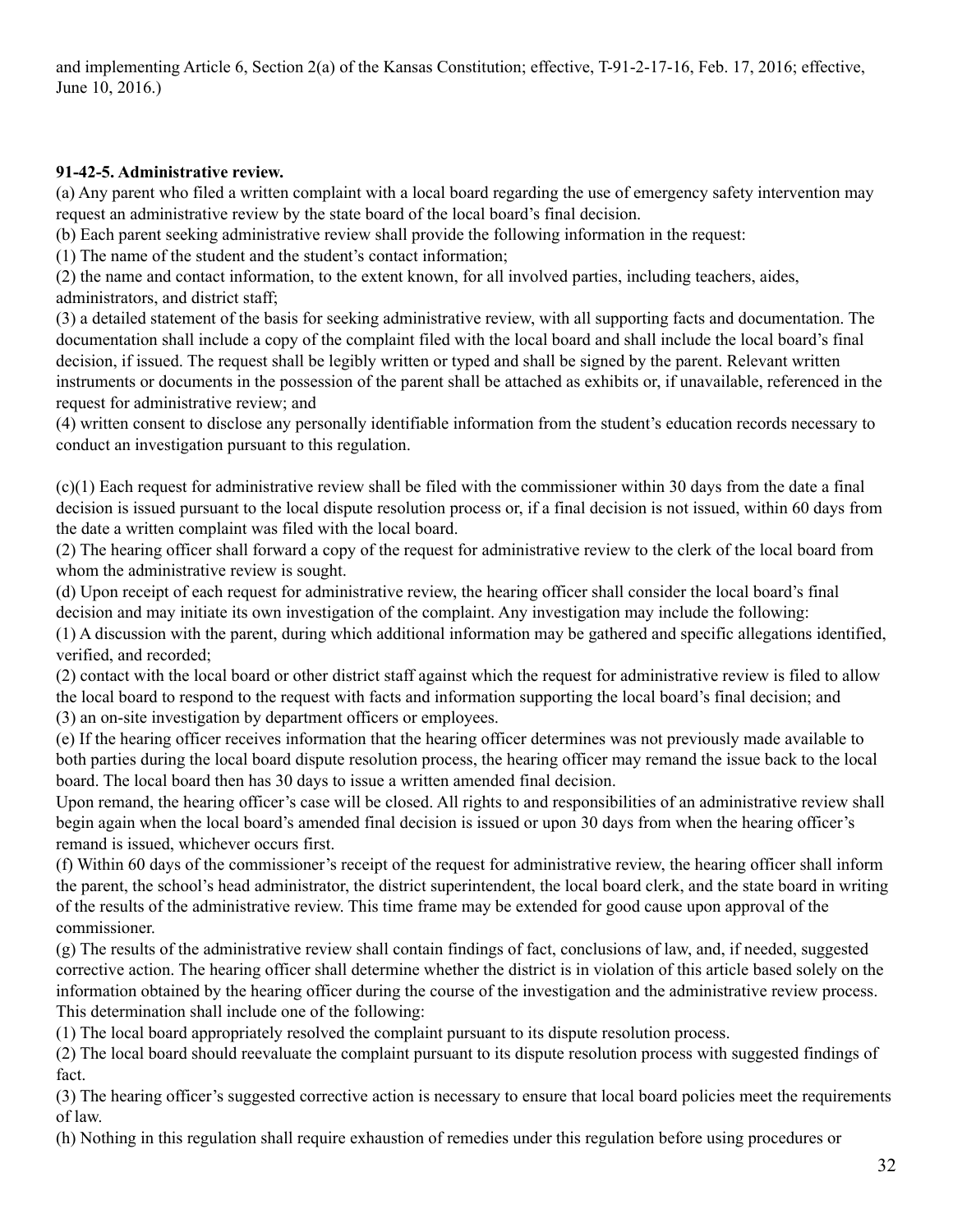and implementing Article 6, Section 2(a) of the Kansas Constitution; effective, T-91-2-17-16, Feb. 17, 2016; effective, June 10, 2016.)

# **91-42-5. Administrative review.**

(a) Any parent who filed a written complaint with a local board regarding the use of emergency safety intervention may request an administrative review by the state board of the local board's final decision.

(b) Each parent seeking administrative review shall provide the following information in the request:

(1) The name of the student and the student's contact information;

(2) the name and contact information, to the extent known, for all involved parties, including teachers, aides, administrators, and district staff;

(3) a detailed statement of the basis for seeking administrative review, with all supporting facts and documentation. The documentation shall include a copy of the complaint filed with the local board and shall include the local board's final decision, if issued. The request shall be legibly written or typed and shall be signed by the parent. Relevant written instruments or documents in the possession of the parent shall be attached as exhibits or, if unavailable, referenced in the request for administrative review; and

(4) written consent to disclose any personally identifiable information from the student's education records necessary to conduct an investigation pursuant to this regulation.

(c)(1) Each request for administrative review shall be filed with the commissioner within 30 days from the date a final decision is issued pursuant to the local dispute resolution process or, if a final decision is not issued, within 60 days from the date a written complaint was filed with the local board.

(2) The hearing officer shall forward a copy of the request for administrative review to the clerk of the local board from whom the administrative review is sought.

(d) Upon receipt of each request for administrative review, the hearing officer shall consider the local board's final decision and may initiate its own investigation of the complaint. Any investigation may include the following:

(1) A discussion with the parent, during which additional information may be gathered and specific allegations identified, verified, and recorded;

(2) contact with the local board or other district staff against which the request for administrative review is filed to allow the local board to respond to the request with facts and information supporting the local board's final decision; and (3) an on-site investigation by department officers or employees.

(e) If the hearing officer receives information that the hearing officer determines was not previously made available to both parties during the local board dispute resolution process, the hearing officer may remand the issue back to the local board. The local board then has 30 days to issue a written amended final decision.

Upon remand, the hearing officer's case will be closed. All rights to and responsibilities of an administrative review shall begin again when the local board's amended final decision is issued or upon 30 days from when the hearing officer's remand is issued, whichever occurs first.

(f) Within 60 days of the commissioner's receipt of the request for administrative review, the hearing officer shall inform the parent, the school's head administrator, the district superintendent, the local board clerk, and the state board in writing of the results of the administrative review. This time frame may be extended for good cause upon approval of the commissioner.

(g) The results of the administrative review shall contain findings of fact, conclusions of law, and, if needed, suggested corrective action. The hearing officer shall determine whether the district is in violation of this article based solely on the information obtained by the hearing officer during the course of the investigation and the administrative review process. This determination shall include one of the following:

(1) The local board appropriately resolved the complaint pursuant to its dispute resolution process.

(2) The local board should reevaluate the complaint pursuant to its dispute resolution process with suggested findings of fact.

(3) The hearing officer's suggested corrective action is necessary to ensure that local board policies meet the requirements of law.

(h) Nothing in this regulation shall require exhaustion of remedies under this regulation before using procedures or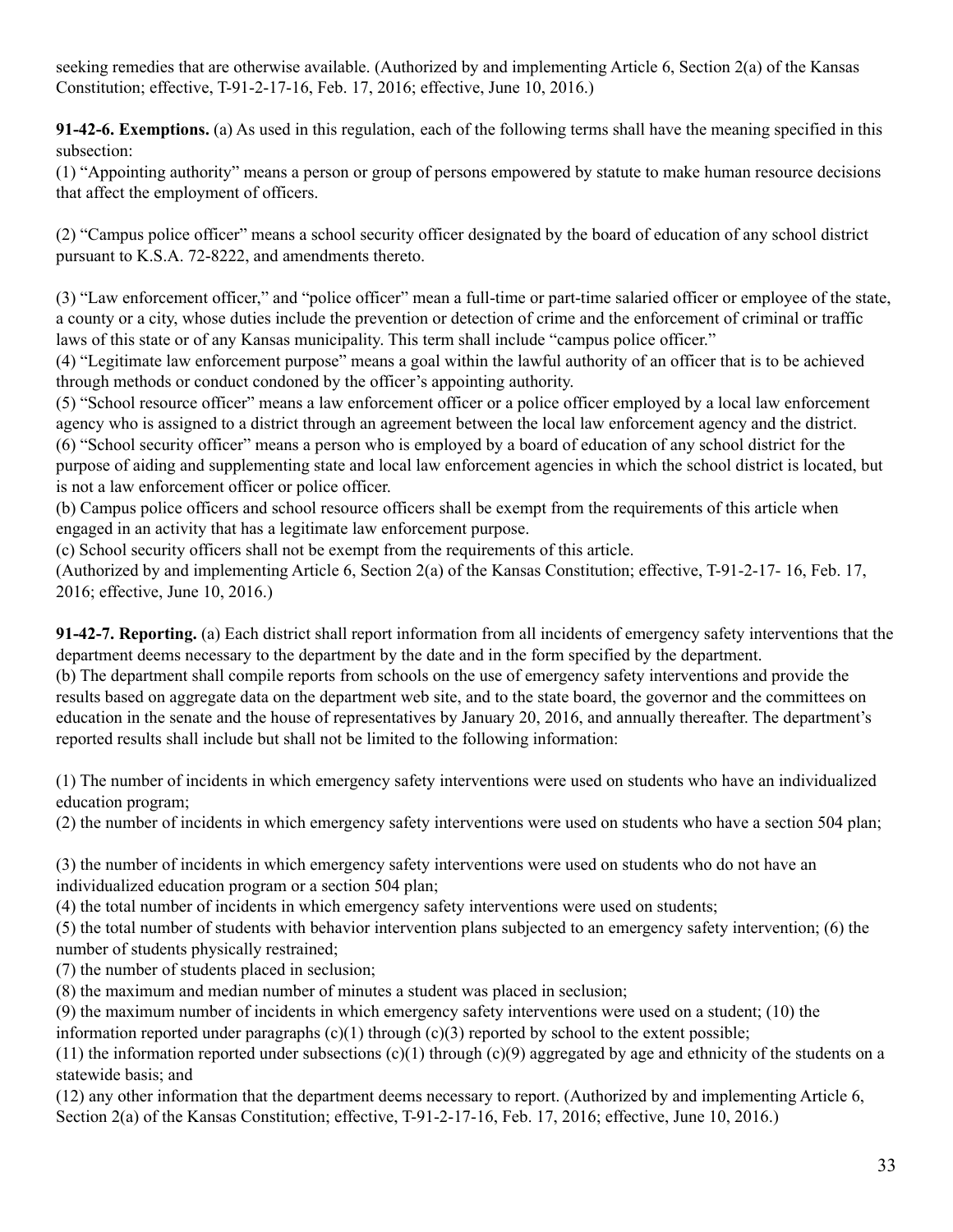seeking remedies that are otherwise available. (Authorized by and implementing Article 6, Section 2(a) of the Kansas Constitution; effective, T-91-2-17-16, Feb. 17, 2016; effective, June 10, 2016.)

**91-42-6. Exemptions.** (a) As used in this regulation, each of the following terms shall have the meaning specified in this subsection:

(1) "Appointing authority" means a person or group of persons empowered by statute to make human resource decisions that affect the employment of officers.

(2) "Campus police officer" means a school security officer designated by the board of education of any school district pursuant to K.S.A. 72-8222, and amendments thereto.

(3) "Law enforcement officer," and "police officer" mean a full-time or part-time salaried officer or employee of the state, a county or a city, whose duties include the prevention or detection of crime and the enforcement of criminal or traffic laws of this state or of any Kansas municipality. This term shall include "campus police officer."

(4) "Legitimate law enforcement purpose" means a goal within the lawful authority of an officer that is to be achieved through methods or conduct condoned by the officer's appointing authority.

(5) "School resource officer" means a law enforcement officer or a police officer employed by a local law enforcement agency who is assigned to a district through an agreement between the local law enforcement agency and the district.

(6) "School security officer" means a person who is employed by a board of education of any school district for the purpose of aiding and supplementing state and local law enforcement agencies in which the school district is located, but is not a law enforcement officer or police officer.

(b) Campus police officers and school resource officers shall be exempt from the requirements of this article when engaged in an activity that has a legitimate law enforcement purpose.

(c) School security officers shall not be exempt from the requirements of this article.

(Authorized by and implementing Article 6, Section 2(a) of the Kansas Constitution; effective, T-91-2-17- 16, Feb. 17, 2016; effective, June 10, 2016.)

**91-42-7. Reporting.** (a) Each district shall report information from all incidents of emergency safety interventions that the department deems necessary to the department by the date and in the form specified by the department.

(b) The department shall compile reports from schools on the use of emergency safety interventions and provide the results based on aggregate data on the department web site, and to the state board, the governor and the committees on education in the senate and the house of representatives by January 20, 2016, and annually thereafter. The department's reported results shall include but shall not be limited to the following information:

(1) The number of incidents in which emergency safety interventions were used on students who have an individualized education program;

(2) the number of incidents in which emergency safety interventions were used on students who have a section 504 plan;

(3) the number of incidents in which emergency safety interventions were used on students who do not have an individualized education program or a section 504 plan;

(4) the total number of incidents in which emergency safety interventions were used on students;

(5) the total number of students with behavior intervention plans subjected to an emergency safety intervention; (6) the number of students physically restrained;

(7) the number of students placed in seclusion;

(8) the maximum and median number of minutes a student was placed in seclusion;

(9) the maximum number of incidents in which emergency safety interventions were used on a student; (10) the information reported under paragraphs  $(c)(1)$  through  $(c)(3)$  reported by school to the extent possible;

(11) the information reported under subsections  $(c)(1)$  through  $(c)(9)$  aggregated by age and ethnicity of the students on a statewide basis; and

(12) any other information that the department deems necessary to report. (Authorized by and implementing Article 6, Section 2(a) of the Kansas Constitution; effective, T-91-2-17-16, Feb. 17, 2016; effective, June 10, 2016.)